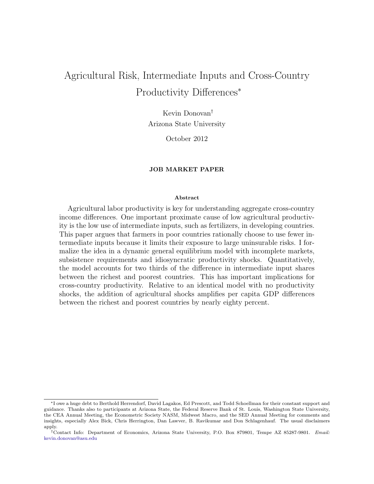# Agricultural Risk, Intermediate Inputs and Cross-Country Productivity Differences<sup>∗</sup>

Kevin Donovan† Arizona State University

October 2012

### JOB MARKET PAPER

#### Abstract

Agricultural labor productivity is key for understanding aggregate cross-country income differences. One important proximate cause of low agricultural productivity is the low use of intermediate inputs, such as fertilizers, in developing countries. This paper argues that farmers in poor countries rationally choose to use fewer intermediate inputs because it limits their exposure to large uninsurable risks. I formalize the idea in a dynamic general equilibrium model with incomplete markets, subsistence requirements and idiosyncratic productivity shocks. Quantitatively, the model accounts for two thirds of the difference in intermediate input shares between the richest and poorest countries. This has important implications for cross-country productivity. Relative to an identical model with no productivity shocks, the addition of agricultural shocks amplifies per capita GDP differences between the richest and poorest countries by nearly eighty percent.

<sup>∗</sup>I owe a huge debt to Berthold Herrendorf, David Lagakos, Ed Prescott, and Todd Schoellman for their constant support and guidance. Thanks also to participants at Arizona State, the Federal Reserve Bank of St. Louis, Washington State University, the CEA Annual Meeting, the Econometric Society NASM, Midwest Macro, and the SED Annual Meeting for comments and insights, especially Alex Bick, Chris Herrington, Dan Lawver, B. Ravikumar and Don Schlagenhauf. The usual disclaimers apply.

<sup>†</sup>Contact Info: Department of Economics, Arizona State University, P.O. Box 879801, Tempe AZ 85287-9801. Email: [kevin.donovan@asu.edu](mailto:kevin.donovan@asu.edu)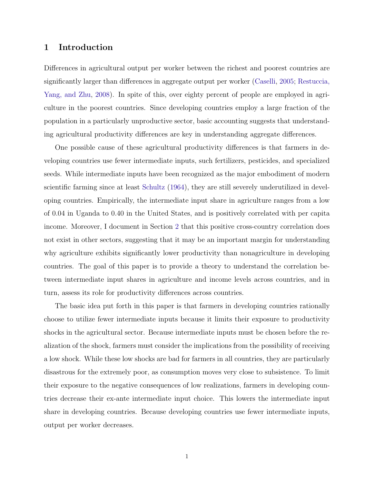# 1 Introduction

Differences in agricultural output per worker between the richest and poorest countries are significantly larger than differences in aggregate output per worker [\(Caselli,](#page-36-0) [2005;](#page-36-0) [Restuccia,](#page-38-0) [Yang, and Zhu,](#page-38-0) [2008\)](#page-38-0). In spite of this, over eighty percent of people are employed in agriculture in the poorest countries. Since developing countries employ a large fraction of the population in a particularly unproductive sector, basic accounting suggests that understanding agricultural productivity differences are key in understanding aggregate differences.

One possible cause of these agricultural productivity differences is that farmers in developing countries use fewer intermediate inputs, such fertilizers, pesticides, and specialized seeds. While intermediate inputs have been recognized as the major embodiment of modern scientific farming since at least [Schultz](#page-38-1) [\(1964\)](#page-38-1), they are still severely underutilized in developing countries. Empirically, the intermediate input share in agriculture ranges from a low of 0.04 in Uganda to 0.40 in the United States, and is positively correlated with per capita income. Moreover, I document in Section [2](#page-5-0) that this positive cross-country correlation does not exist in other sectors, suggesting that it may be an important margin for understanding why agriculture exhibits significantly lower productivity than nonagriculture in developing countries. The goal of this paper is to provide a theory to understand the correlation between intermediate input shares in agriculture and income levels across countries, and in turn, assess its role for productivity differences across countries.

The basic idea put forth in this paper is that farmers in developing countries rationally choose to utilize fewer intermediate inputs because it limits their exposure to productivity shocks in the agricultural sector. Because intermediate inputs must be chosen before the realization of the shock, farmers must consider the implications from the possibility of receiving a low shock. While these low shocks are bad for farmers in all countries, they are particularly disastrous for the extremely poor, as consumption moves very close to subsistence. To limit their exposure to the negative consequences of low realizations, farmers in developing countries decrease their ex-ante intermediate input choice. This lowers the intermediate input share in developing countries. Because developing countries use fewer intermediate inputs, output per worker decreases.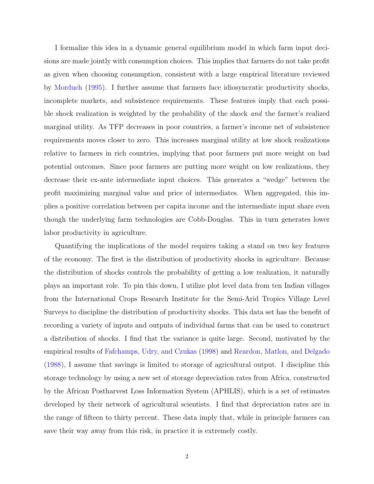I formalize this idea in a dynamic general equilibrium model in which farm input decisions are made jointly with consumption choices. This implies that farmers do not take profit as given when choosing consumption, consistent with a large empirical literature reviewed by [Morduch](#page-38-2) [\(1995\)](#page-38-2). I further assume that farmers face idiosyncratic productivity shocks, incomplete markets, and subsistence requirements. These features imply that each possible shock realization is weighted by the probability of the shock and the farmer's realized marginal utility. As TFP decreases in poor countries, a farmer's income net of subsistence requirements moves closer to zero. This increases marginal utility at low shock realizations relative to farmers in rich countries, implying that poor farmers put more weight on bad potential outcomes. Since poor farmers are putting more weight on low realizations, they decrease their ex-ante intermediate input choices. This generates a "wedge" between the profit maximizing marginal value and price of intermediates. When aggregated, this implies a positive correlation between per capita income and the intermediate input share even though the underlying farm technologies are Cobb-Douglas. This in turn generates lower labor productivity in agriculture.

Quantifying the implications of the model requires taking a stand on two key features of the economy. The first is the distribution of productivity shocks in agriculture. Because the distribution of shocks controls the probability of getting a low realization, it naturally plays an important role. To pin this down, I utilize plot level data from ten Indian villages from the International Crops Research Institute for the Semi-Arid Tropics Village Level Surveys to discipline the distribution of productivity shocks. This data set has the benefit of recording a variety of inputs and outputs of individual farms that can be used to construct a distribution of shocks. I find that the variance is quite large. Second, motivated by the empirical results of [Fafchamps, Udry, and Czukas](#page-37-0) [\(1998\)](#page-37-0) and [Reardon, Matlon, and Delgado](#page-38-3) [\(1988\)](#page-38-3), I assume that savings is limited to storage of agricultural output. I discipline this storage technology by using a new set of storage depreciation rates from Africa, constructed by the African Postharvest Loss Information System (APHLIS), which is a set of estimates developed by their network of agricultural scientists. I find that depreciation rates are in the range of fifteen to thirty percent. These data imply that, while in principle farmers can save their way away from this risk, in practice it is extremely costly.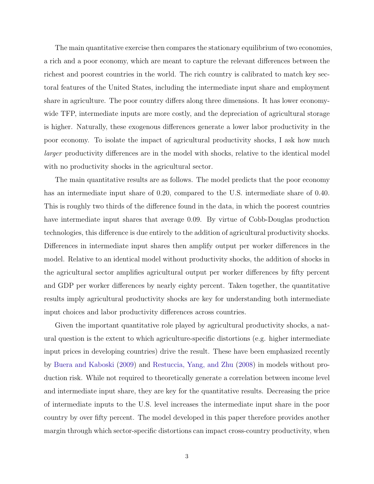The main quantitative exercise then compares the stationary equilibrium of two economies, a rich and a poor economy, which are meant to capture the relevant differences between the richest and poorest countries in the world. The rich country is calibrated to match key sectoral features of the United States, including the intermediate input share and employment share in agriculture. The poor country differs along three dimensions. It has lower economywide TFP, intermediate inputs are more costly, and the depreciation of agricultural storage is higher. Naturally, these exogenous differences generate a lower labor productivity in the poor economy. To isolate the impact of agricultural productivity shocks, I ask how much larger productivity differences are in the model with shocks, relative to the identical model with no productivity shocks in the agricultural sector.

The main quantitative results are as follows. The model predicts that the poor economy has an intermediate input share of 0.20, compared to the U.S. intermediate share of 0.40. This is roughly two thirds of the difference found in the data, in which the poorest countries have intermediate input shares that average 0.09. By virtue of Cobb-Douglas production technologies, this difference is due entirely to the addition of agricultural productivity shocks. Differences in intermediate input shares then amplify output per worker differences in the model. Relative to an identical model without productivity shocks, the addition of shocks in the agricultural sector amplifies agricultural output per worker differences by fifty percent and GDP per worker differences by nearly eighty percent. Taken together, the quantitative results imply agricultural productivity shocks are key for understanding both intermediate input choices and labor productivity differences across countries.

Given the important quantitative role played by agricultural productivity shocks, a natural question is the extent to which agriculture-specific distortions (e.g. higher intermediate input prices in developing countries) drive the result. These have been emphasized recently by [Buera and Kaboski](#page-36-1) [\(2009\)](#page-36-1) and [Restuccia, Yang, and Zhu](#page-38-0) [\(2008\)](#page-38-0) in models without production risk. While not required to theoretically generate a correlation between income level and intermediate input share, they are key for the quantitative results. Decreasing the price of intermediate inputs to the U.S. level increases the intermediate input share in the poor country by over fifty percent. The model developed in this paper therefore provides another margin through which sector-specific distortions can impact cross-country productivity, when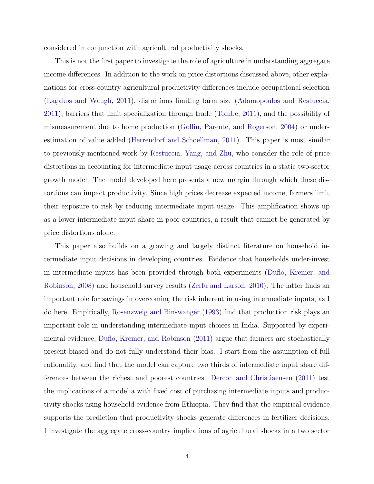considered in conjunction with agricultural productivity shocks.

This is not the first paper to investigate the role of agriculture in understanding aggregate income differences. In addition to the work on price distortions discussed above, other explanations for cross-country agricultural productivity differences include occupational selection [\(Lagakos and Waugh,](#page-38-4) [2011\)](#page-38-4), distortions limiting farm size [\(Adamopoulos and Restuccia,](#page-36-2) [2011\)](#page-36-2), barriers that limit specialization through trade [\(Tombe,](#page-39-0) [2011\)](#page-39-0), and the possibility of mismeasurement due to home production [\(Gollin, Parente, and Rogerson,](#page-37-1) [2004\)](#page-37-1) or underestimation of value added [\(Herrendorf and Schoellman,](#page-37-2) [2011\)](#page-37-2). This paper is most similar to previously mentioned work by [Restuccia, Yang, and Zhu,](#page-38-0) who consider the role of price distortions in accounting for intermediate input usage across countries in a static two-sector growth model. The model developed here presents a new margin through which these distortions can impact productivity. Since high prices decrease expected income, farmers limit their exposure to risk by reducing intermediate input usage. This amplification shows up as a lower intermediate input share in poor countries, a result that cannot be generated by price distortions alone.

This paper also builds on a growing and largely distinct literature on household intermediate input decisions in developing countries. Evidence that households under-invest in intermediate inputs has been provided through both experiments [\(Duflo, Kremer, and](#page-36-3) [Robinson,](#page-36-3) [2008\)](#page-36-3) and household survey results [\(Zerfu and Larson,](#page-39-1) [2010\)](#page-39-1). The latter finds an important role for savings in overcoming the risk inherent in using intermediate inputs, as I do here. Empirically, [Rosenzweig and Binswanger](#page-38-5) [\(1993\)](#page-38-5) find that production risk plays an important role in understanding intermediate input choices in India. Supported by experimental evidence, [Duflo, Kremer, and Robinson](#page-36-4) [\(2011\)](#page-36-4) argue that farmers are stochastically present-biased and do not fully understand their bias. I start from the assumption of full rationality, and find that the model can capture two thirds of intermediate input share differences between the richest and poorest countries. [Dercon and Christiaensen](#page-36-5) [\(2011\)](#page-36-5) test the implications of a model a with fixed cost of purchasing intermediate inputs and productivity shocks using household evidence from Ethiopia. They find that the empirical evidence supports the prediction that productivity shocks generate differences in fertilizer decisions. I investigate the aggregate cross-country implications of agricultural shocks in a two sector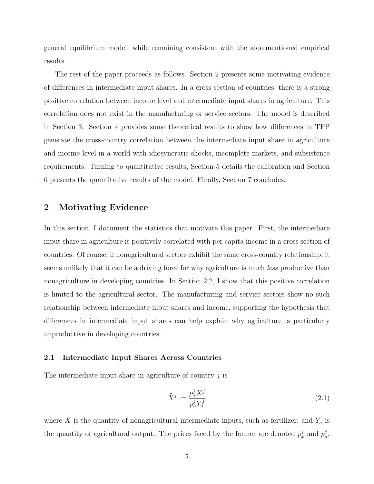general equilibrium model, while remaining consistent with the aforementioned empirical results.

The rest of the paper proceeds as follows. Section [2](#page-5-0) presents some motivating evidence of differences in intermediate input shares. In a cross section of countries, there is a strong positive correlation between income level and intermediate input shares in agriculture. This correlation does not exist in the manufacturing or service sectors. The model is described in Section [3.](#page-9-0) Section [4](#page-17-0) provides some theoretical results to show how differences in TFP generate the cross-country correlation between the intermediate input share in agriculture and income level in a world with idiosyncratic shocks, incomplete markets, and subsistence requirements. Turning to quantitative results, Section [5](#page-21-0) details the calibration and Section [6](#page-27-0) presents the quantitative results of the model. Finally, Section [7](#page-34-0) concludes.

# <span id="page-5-0"></span>2 Motivating Evidence

In this section, I document the statistics that motivate this paper. First, the intermediate input share in agriculture is positively correlated with per capita income in a cross section of countries. Of course, if nonagricultural sectors exhibit the same cross-country relationship, it seems unlikely that it can be a driving force for why agriculture is much *less* productive than nonagriculture in developing countries. In Section [2.2,](#page-7-0) I show that this positive correlation is limited to the agricultural sector. The manufacturing and service sectors show no such relationship between intermediate input shares and income, supporting the hypothesis that differences in intermediate input shares can help explain why agriculture is particularly unproductive in developing countries.

## 2.1 Intermediate Input Shares Across Countries

The intermediate input share in agriculture of country  $j$  is

$$
\widehat{X}^j := \frac{p_x^j X^j}{p_a^j Y_a^j} \tag{2.1}
$$

where X is the quantity of nonagricultural intermediate inputs, such as fertilizer, and  $Y_a$  is the quantity of agricultural output. The prices faced by the farmer are denoted  $p_x^j$  and  $p_a^j$ ,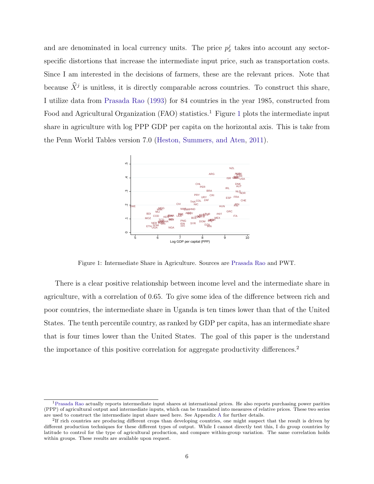and are denominated in local currency units. The price  $p_x^j$  takes into account any sectorspecific distortions that increase the intermediate input price, such as transportation costs. Since I am interested in the decisions of farmers, these are the relevant prices. Note that because  $\hat{X}^j$  is unitless, it is directly comparable across countries. To construct this share, I utilize data from [Prasada Rao](#page-38-6) [\(1993\)](#page-38-6) for 84 countries in the year 1985, constructed from Food and Agricultural Organization  $(FAO)$  statistics.<sup>[1](#page-6-0)</sup> Figure 1 plots the intermediate input share in agriculture with log PPP GDP per capita on the horizontal axis. This is take from the Penn World Tables version 7.0 [\(Heston, Summers, and Aten,](#page-37-3) [2011\)](#page-37-3).

<span id="page-6-0"></span>

Figure 1: Intermediate Share in Agriculture. Sources are [Prasada Rao](#page-38-6) and PWT.

There is a clear positive relationship between income level and the intermediate share in agriculture, with a correlation of 0.65. To give some idea of the difference between rich and poor countries, the intermediate share in Uganda is ten times lower than that of the United States. The tenth percentile country, as ranked by GDP per capita, has an intermediate share that is four times lower than the United States. The goal of this paper is the understand the importance of this positive correlation for aggregate productivity differences.<sup>2</sup>

<sup>1</sup>[Prasada Rao](#page-38-6) actually reports intermediate input shares at international prices. He also reports purchasing power parities (PPP) of agricultural output and intermediate inputs, which can be translated into measures of relative prices. These two series are used to construct the intermediate input share used here. See Appendix [A](#page-40-0) for further details.

<sup>&</sup>lt;sup>2</sup>If rich countries are producing different crops than developing countries, one might suspect that the result is driven by different production techniques for these different types of output. While I cannot directly test this, I do group countries by latitude to control for the type of agricultural production, and compare within-group variation. The same correlation holds within groups. These results are available upon request.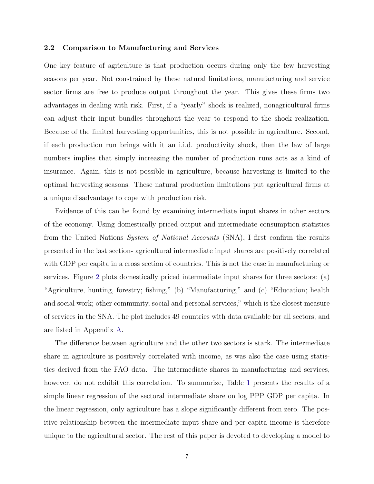### <span id="page-7-0"></span>2.2 Comparison to Manufacturing and Services

One key feature of agriculture is that production occurs during only the few harvesting seasons per year. Not constrained by these natural limitations, manufacturing and service sector firms are free to produce output throughout the year. This gives these firms two advantages in dealing with risk. First, if a "yearly" shock is realized, nonagricultural firms can adjust their input bundles throughout the year to respond to the shock realization. Because of the limited harvesting opportunities, this is not possible in agriculture. Second, if each production run brings with it an i.i.d. productivity shock, then the law of large numbers implies that simply increasing the number of production runs acts as a kind of insurance. Again, this is not possible in agriculture, because harvesting is limited to the optimal harvesting seasons. These natural production limitations put agricultural firms at a unique disadvantage to cope with production risk.

Evidence of this can be found by examining intermediate input shares in other sectors of the economy. Using domestically priced output and intermediate consumption statistics from the United Nations System of National Accounts (SNA), I first confirm the results presented in the last section- agricultural intermediate input shares are positively correlated with GDP per capita in a cross section of countries. This is not the case in manufacturing or services. Figure [2](#page-8-0) plots domestically priced intermediate input shares for three sectors: (a) "Agriculture, hunting, forestry; fishing," (b) "Manufacturing," and (c) "Education; health and social work; other community, social and personal services," which is the closest measure of services in the SNA. The plot includes 49 countries with data available for all sectors, and are listed in Appendix [A.](#page-40-0)

The difference between agriculture and the other two sectors is stark. The intermediate share in agriculture is positively correlated with income, as was also the case using statistics derived from the FAO data. The intermediate shares in manufacturing and services, however, do not exhibit this correlation. To summarize, Table [1](#page-8-1) presents the results of a simple linear regression of the sectoral intermediate share on log PPP GDP per capita. In the linear regression, only agriculture has a slope significantly different from zero. The positive relationship between the intermediate input share and per capita income is therefore unique to the agricultural sector. The rest of this paper is devoted to developing a model to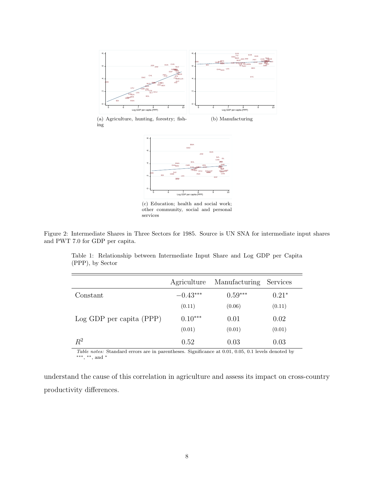<span id="page-8-0"></span>





(c) Education; health and social work; other community, social and personal services

<span id="page-8-1"></span>Figure 2: Intermediate Shares in Three Sectors for 1985. Source is UN SNA for intermediate input shares and PWT 7.0 for GDP per capita.

|                              | Agriculture | Manufacturing | Services |
|------------------------------|-------------|---------------|----------|
| Constant                     | $-0.43***$  | $0.59***$     | $0.21*$  |
|                              | (0.11)      | (0.06)        | (0.11)   |
| $Log GDP$ per capita $(PPP)$ | $0.10***$   | 0.01          | 0.02     |
|                              | (0.01)      | (0.01)        | (0.01)   |
| $\,R^2$                      | 0.52        | 0.03          | 0.03     |

Table 1: Relationship between Intermediate Input Share and Log GDP per Capita (PPP), by Sector

Table notes: Standard errors are in parentheses. Significance at 0.01, 0.05, 0.1 levels denoted by ∗∗∗, ∗∗, and <sup>∗</sup>

understand the cause of this correlation in agriculture and assess its impact on cross-country productivity differences.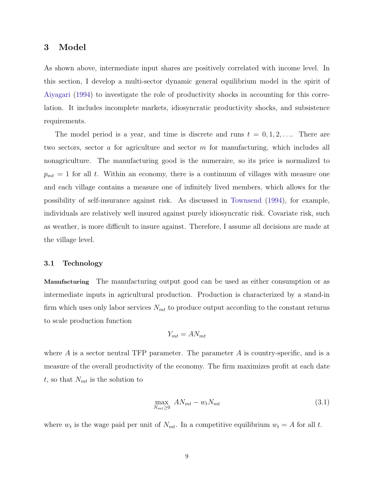# <span id="page-9-0"></span>3 Model

As shown above, intermediate input shares are positively correlated with income level. In this section, I develop a multi-sector dynamic general equilibrium model in the spirit of [Aiyagari](#page-36-6) [\(1994\)](#page-36-6) to investigate the role of productivity shocks in accounting for this correlation. It includes incomplete markets, idiosyncratic productivity shocks, and subsistence requirements.

The model period is a year, and time is discrete and runs  $t = 0, 1, 2, \ldots$  There are two sectors, sector a for agriculture and sector m for manufacturing, which includes all nonagriculture. The manufacturing good is the numeraire, so its price is normalized to  $p_{mt} = 1$  for all t. Within an economy, there is a continuum of villages with measure one and each village contains a measure one of infinitely lived members, which allows for the possibility of self-insurance against risk. As discussed in [Townsend](#page-39-2) [\(1994\)](#page-39-2), for example, individuals are relatively well insured against purely idiosyncratic risk. Covariate risk, such as weather, is more difficult to insure against. Therefore, I assume all decisions are made at the village level.

## 3.1 Technology

Manufacturing The manufacturing output good can be used as either consumption or as intermediate inputs in agricultural production. Production is characterized by a stand-in firm which uses only labor services  $N_{mt}$  to produce output according to the constant returns to scale production function

$$
Y_{mt} = A N_{mt}
$$

where  $\tilde{A}$  is a sector neutral TFP parameter. The parameter  $\tilde{A}$  is country-specific, and is a measure of the overall productivity of the economy. The firm maximizes profit at each date t, so that  $N_{mt}$  is the solution to

<span id="page-9-1"></span>
$$
\max_{N_{mt}\geq 0} AN_{mt} - w_t N_{mt} \tag{3.1}
$$

where  $w_t$  is the wage paid per unit of  $N_{mt}$ . In a competitive equilibrium  $w_t = A$  for all t.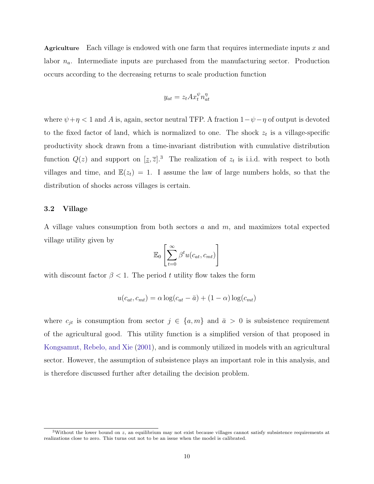Agriculture Each village is endowed with one farm that requires intermediate inputs  $x$  and labor  $n_a$ . Intermediate inputs are purchased from the manufacturing sector. Production occurs according to the decreasing returns to scale production function

$$
y_{at} = z_t A x_t^{\psi} n_{at}^{\eta}
$$

where  $\psi + \eta < 1$  and A is, again, sector neutral TFP. A fraction  $1 - \psi - \eta$  of output is devoted to the fixed factor of land, which is normalized to one. The shock  $z_t$  is a village-specific productivity shock drawn from a time-invariant distribution with cumulative distribution function  $Q(z)$  and support on  $[\underline{z}, \overline{z}]$ .<sup>3</sup> The realization of  $z_t$  is i.i.d. with respect to both villages and time, and  $\mathbb{E}(z_t) = 1$ . I assume the law of large numbers holds, so that the distribution of shocks across villages is certain.

### 3.2 Village

A village values consumption from both sectors  $a$  and  $m$ , and maximizes total expected village utility given by

$$
\mathbb{E}_0\left[\sum_{t=0}^{\infty}\beta^t u(c_{at}, c_{mt})\right]
$$

with discount factor  $\beta < 1$ . The period t utility flow takes the form

$$
u(c_{at}, c_{mt}) = \alpha \log(c_{at} - \bar{a}) + (1 - \alpha) \log(c_{mt})
$$

where  $c_{jt}$  is consumption from sector  $j \in \{a, m\}$  and  $\bar{a} > 0$  is subsistence requirement of the agricultural good. This utility function is a simplified version of that proposed in [Kongsamut, Rebelo, and Xie](#page-38-7) [\(2001\)](#page-38-7), and is commonly utilized in models with an agricultural sector. However, the assumption of subsistence plays an important role in this analysis, and is therefore discussed further after detailing the decision problem.

<sup>&</sup>lt;sup>3</sup>Without the lower bound on z, an equilibrium may not exist because villages cannot satisfy subsistence requirements at realizations close to zero. This turns out not to be an issue when the model is calibrated.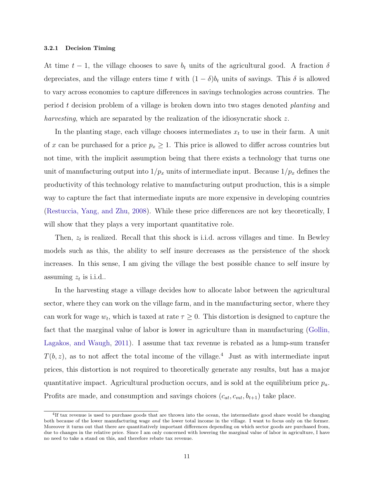#### 3.2.1 Decision Timing

At time  $t-1$ , the village chooses to save  $b_t$  units of the agricultural good. A fraction  $\delta$ depreciates, and the village enters time t with  $(1 - \delta)b_t$  units of savings. This  $\delta$  is allowed to vary across economies to capture differences in savings technologies across countries. The period t decision problem of a village is broken down into two stages denoted planting and harvesting, which are separated by the realization of the idiosyncratic shock z.

In the planting stage, each village chooses intermediates  $x_t$  to use in their farm. A unit of x can be purchased for a price  $p_x \geq 1$ . This price is allowed to differ across countries but not time, with the implicit assumption being that there exists a technology that turns one unit of manufacturing output into  $1/p_x$  units of intermediate input. Because  $1/p_x$  defines the productivity of this technology relative to manufacturing output production, this is a simple way to capture the fact that intermediate inputs are more expensive in developing countries [\(Restuccia, Yang, and Zhu,](#page-38-0) [2008\)](#page-38-0). While these price differences are not key theoretically, I will show that they plays a very important quantitative role.

Then,  $z_t$  is realized. Recall that this shock is i.i.d. across villages and time. In Bewley models such as this, the ability to self insure decreases as the persistence of the shock increases. In this sense, I am giving the village the best possible chance to self insure by assuming  $z_t$  is i.i.d..

In the harvesting stage a village decides how to allocate labor between the agricultural sector, where they can work on the village farm, and in the manufacturing sector, where they can work for wage  $w_t$ , which is taxed at rate  $\tau \geq 0$ . This distortion is designed to capture the fact that the marginal value of labor is lower in agriculture than in manufacturing [\(Gollin,](#page-37-4) [Lagakos, and Waugh,](#page-37-4) [2011\)](#page-37-4). I assume that tax revenue is rebated as a lump-sum transfer  $T(b, z)$ , as to not affect the total income of the village.<sup>4</sup> Just as with intermediate input prices, this distortion is not required to theoretically generate any results, but has a major quantitative impact. Agricultural production occurs, and is sold at the equilibrium price  $p_a$ . Profits are made, and consumption and savings choices  $(c_{at}, c_{mt}, b_{t+1})$  take place.

<sup>4</sup> If tax revenue is used to purchase goods that are thrown into the ocean, the intermediate good share would be changing both because of the lower manufacturing wage and the lower total income in the village. I want to focus only on the former. Moreover it turns out that there are quantitatively important differences depending on which sector goods are purchased from, due to changes in the relative price. Since I am only concerned with lowering the marginal value of labor in agriculture, I have no need to take a stand on this, and therefore rebate tax revenue.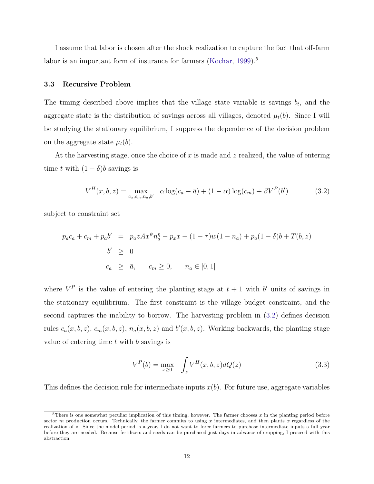I assume that labor is chosen after the shock realization to capture the fact that off-farm labor is an important form of insurance for farmers [\(Kochar,](#page-37-5) [1999\)](#page-37-5).<sup>5</sup>

## 3.3 Recursive Problem

The timing described above implies that the village state variable is savings  $b_t$ , and the aggregate state is the distribution of savings across all villages, denoted  $\mu_t(b)$ . Since I will be studying the stationary equilibrium, I suppress the dependence of the decision problem on the aggregate state  $\mu_t(b)$ .

At the harvesting stage, once the choice of x is made and z realized, the value of entering time t with  $(1 - \delta)b$  savings is

<span id="page-12-0"></span>
$$
V^H(x, b, z) = \max_{c_a, c_m, n_a, b'} \alpha \log(c_a - \bar{a}) + (1 - \alpha) \log(c_m) + \beta V^P(b')
$$
(3.2)

subject to constraint set

$$
p_a c_a + c_m + p_a b' = p_a z A x^{\psi} n_a^{\eta} - p_x x + (1 - \tau) w (1 - n_a) + p_a (1 - \delta) b + T(b, z)
$$
  
\n
$$
b' \ge 0
$$
  
\n
$$
c_a \ge \bar{a}, \quad c_m \ge 0, \quad n_a \in [0, 1]
$$

where  $V^P$  is the value of entering the planting stage at  $t+1$  with b' units of savings in the stationary equilibrium. The first constraint is the village budget constraint, and the second captures the inability to borrow. The harvesting problem in [\(3.2\)](#page-12-0) defines decision rules  $c_a(x, b, z)$ ,  $c_m(x, b, z)$ ,  $n_a(x, b, z)$  and  $b'(x, b, z)$ . Working backwards, the planting stage value of entering time  $t$  with  $b$  savings is

<span id="page-12-1"></span>
$$
V^{P}(b) = \max_{x \ge 0} \int_{z} V^{H}(x, b, z) dQ(z)
$$
 (3.3)

This defines the decision rule for intermediate inputs  $x(b)$ . For future use, aggregate variables

 $5$ There is one somewhat peculiar implication of this timing, however. The farmer chooses  $x$  in the planting period before sector m production occurs. Technically, the farmer commits to using  $x$  intermediates, and then plants  $x$  regardless of the realization of z. Since the model period is a year, I do not want to force farmers to purchase intermediate inputs a full year before they are needed. Because fertilizers and seeds can be purchased just days in advance of cropping, I proceed with this abstraction.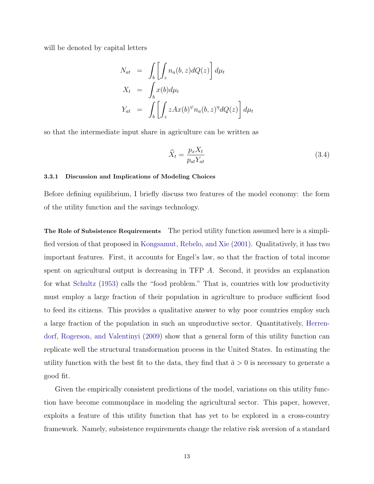will be denoted by capital letters

$$
N_{at} = \int_b \left[ \int_z n_a(b, z) dQ(z) \right] d\mu_t
$$
  
\n
$$
X_t = \int_b x(b) d\mu_t
$$
  
\n
$$
Y_{at} = \int_b \left[ \int_z z A x(b)^\psi n_a(b, z)^\eta dQ(z) \right] d\mu_t
$$

so that the intermediate input share in agriculture can be written as

$$
\widehat{X}_t = \frac{p_x X_t}{p_{at} Y_{at}} \tag{3.4}
$$

### 3.3.1 Discussion and Implications of Modeling Choices

Before defining equilibrium, I briefly discuss two features of the model economy: the form of the utility function and the savings technology.

The Role of Subsistence Requirements The period utility function assumed here is a simplified version of that proposed in [Kongsamut, Rebelo, and Xie](#page-38-7) [\(2001\)](#page-38-7). Qualitatively, it has two important features. First, it accounts for Engel's law, so that the fraction of total income spent on agricultural output is decreasing in TFP A. Second, it provides an explanation for what [Schultz](#page-38-8) [\(1953\)](#page-38-8) calls the "food problem." That is, countries with low productivity must employ a large fraction of their population in agriculture to produce sufficient food to feed its citizens. This provides a qualitative answer to why poor countries employ such a large fraction of the population in such an unproductive sector. Quantitatively, [Herren](#page-37-6)[dorf, Rogerson, and Valentinyi](#page-37-6) [\(2009\)](#page-37-6) show that a general form of this utility function can replicate well the structural transformation process in the United States. In estimating the utility function with the best fit to the data, they find that  $\bar{a} > 0$  is necessary to generate a good fit.

Given the empirically consistent predictions of the model, variations on this utility function have become commonplace in modeling the agricultural sector. This paper, however, exploits a feature of this utility function that has yet to be explored in a cross-country framework. Namely, subsistence requirements change the relative risk aversion of a standard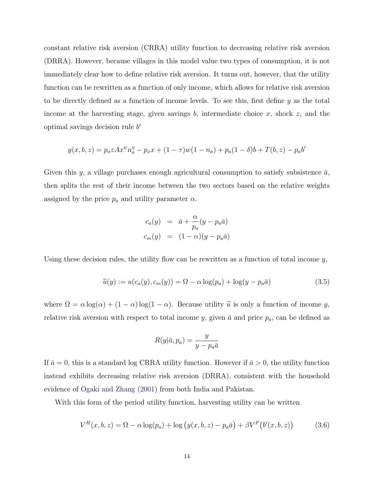constant relative risk aversion (CRRA) utility function to decreasing relative risk aversion (DRRA). However, because villages in this model value two types of consumption, it is not immediately clear how to define relative risk aversion. It turns out, however, that the utility function can be rewritten as a function of only income, which allows for relative risk aversion to be directly defined as a function of income levels. To see this, first define y as the total income at the harvesting stage, given savings  $b$ , intermediate choice  $x$ , shock  $z$ , and the optimal savings decision rule  $b'$ 

$$
y(x, b, z) = p_a z A x^{\psi} n_a^{\eta} - p_x x + (1 - \tau) w (1 - n_a) + p_a (1 - \delta) b + T(b, z) - p_a b'
$$

Given this y, a village purchases enough agricultural consumption to satisfy subsistence  $\bar{a}$ , then splits the rest of their income between the two sectors based on the relative weights assigned by the price  $p_a$  and utility parameter  $\alpha$ .

<span id="page-14-1"></span>
$$
c_a(y) = \bar{a} + \frac{\alpha}{p_a}(y - p_a \bar{a})
$$
  

$$
c_m(y) = (1 - \alpha)(y - p_a \bar{a})
$$

Using these decision rules, the utility flow can be rewritten as a function of total income  $y$ ,

$$
\widetilde{u}(y) := u(c_a(y), c_m(y)) = \Omega - \alpha \log(p_a) + \log(y - p_a \bar{a})
$$
\n(3.5)

where  $\Omega = \alpha \log(\alpha) + (1 - \alpha) \log(1 - \alpha)$ . Because utility  $\tilde{u}$  is only a function of income y, relative risk aversion with respect to total income y, given  $\bar{a}$  and price  $p_a$ , can be defined as

<span id="page-14-0"></span>
$$
R(y|\bar{a}, p_a) = \frac{y}{y - p_a \bar{a}}
$$

If  $\bar{a} = 0$ , this is a standard log CRRA utility function. However if  $\bar{a} > 0$ , the utility function instead exhibits decreasing relative risk aversion (DRRA), consistent with the household evidence of [Ogaki and Zhang](#page-38-9) [\(2001\)](#page-38-9) from both India and Pakistan.

With this form of the period utility function, harvesting utility can be written

$$
V^{H}(x, b, z) = \Omega - \alpha \log(p_{a}) + \log (y(x, b, z) - p_{a}\bar{a}) + \beta V^{P}(b'(x, b, z))
$$
(3.6)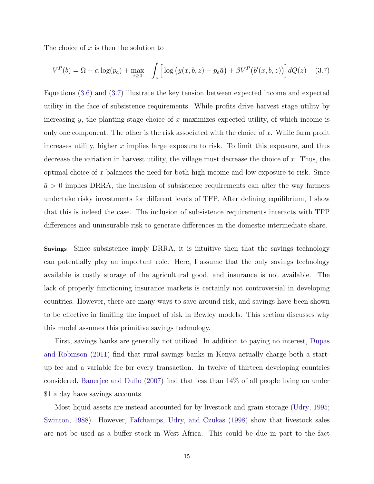The choice of  $x$  is then the solution to

<span id="page-15-0"></span>
$$
V^{P}(b) = \Omega - \alpha \log(p_a) + \max_{x \ge 0} \quad \int_{z} \left[ \log \left( y(x, b, z) - p_a \bar{a} \right) + \beta V^{P} \left( b'(x, b, z) \right) \right] dQ(z) \tag{3.7}
$$

Equations [\(3.6\)](#page-14-0) and [\(3.7\)](#page-15-0) illustrate the key tension between expected income and expected utility in the face of subsistence requirements. While profits drive harvest stage utility by increasing  $y$ , the planting stage choice of x maximizes expected utility, of which income is only one component. The other is the risk associated with the choice of  $x$ . While farm profit increases utility, higher  $x$  implies large exposure to risk. To limit this exposure, and thus decrease the variation in harvest utility, the village must decrease the choice of  $x$ . Thus, the optimal choice of x balances the need for both high income and low exposure to risk. Since  $\bar{a} > 0$  implies DRRA, the inclusion of subsistence requirements can alter the way farmers undertake risky investments for different levels of TFP. After defining equilibrium, I show that this is indeed the case. The inclusion of subsistence requirements interacts with TFP differences and uninsurable risk to generate differences in the domestic intermediate share.

Savings Since subsistence imply DRRA, it is intuitive then that the savings technology can potentially play an important role. Here, I assume that the only savings technology available is costly storage of the agricultural good, and insurance is not available. The lack of properly functioning insurance markets is certainly not controversial in developing countries. However, there are many ways to save around risk, and savings have been shown to be effective in limiting the impact of risk in Bewley models. This section discusses why this model assumes this primitive savings technology.

First, savings banks are generally not utilized. In addition to paying no interest, [Dupas](#page-37-7) [and Robinson](#page-37-7) [\(2011\)](#page-37-7) find that rural savings banks in Kenya actually charge both a startup fee and a variable fee for every transaction. In twelve of thirteen developing countries considered, [Banerjee and Duflo](#page-36-7) [\(2007\)](#page-36-7) find that less than 14% of all people living on under \$1 a day have savings accounts.

Most liquid assets are instead accounted for by livestock and grain storage [\(Udry,](#page-39-3) [1995;](#page-39-3) [Swinton,](#page-38-10) [1988\)](#page-38-10). However, [Fafchamps, Udry, and Czukas](#page-37-0) [\(1998\)](#page-37-0) show that livestock sales are not be used as a buffer stock in West Africa. This could be due in part to the fact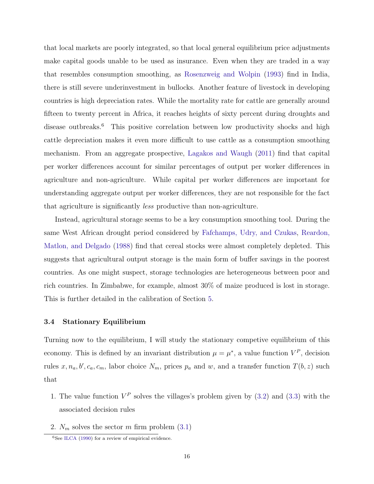that local markets are poorly integrated, so that local general equilibrium price adjustments make capital goods unable to be used as insurance. Even when they are traded in a way that resembles consumption smoothing, as [Rosenzweig and Wolpin](#page-38-11) [\(1993\)](#page-38-11) find in India, there is still severe underinvestment in bullocks. Another feature of livestock in developing countries is high depreciation rates. While the mortality rate for cattle are generally around fifteen to twenty percent in Africa, it reaches heights of sixty percent during droughts and disease outbreaks.<sup>6</sup> This positive correlation between low productivity shocks and high cattle depreciation makes it even more difficult to use cattle as a consumption smoothing mechanism. From an aggregate prospective, [Lagakos and Waugh](#page-38-4) [\(2011\)](#page-38-4) find that capital per worker differences account for similar percentages of output per worker differences in agriculture and non-agriculture. While capital per worker differences are important for understanding aggregate output per worker differences, they are not responsible for the fact that agriculture is significantly less productive than non-agriculture.

Instead, agricultural storage seems to be a key consumption smoothing tool. During the same West African drought period considered by [Fafchamps, Udry, and Czukas,](#page-37-0) [Reardon,](#page-38-3) [Matlon, and Delgado](#page-38-3) [\(1988\)](#page-38-3) find that cereal stocks were almost completely depleted. This suggests that agricultural output storage is the main form of buffer savings in the poorest countries. As one might suspect, storage technologies are heterogeneous between poor and rich countries. In Zimbabwe, for example, almost 30% of maize produced is lost in storage. This is further detailed in the calibration of Section [5.](#page-21-0)

### 3.4 Stationary Equilibrium

Turning now to the equilibrium, I will study the stationary competive equilibrium of this economy. This is defined by an invariant distribution  $\mu = \mu^*$ , a value function  $V^P$ , decision rules  $x, n_a, b', c_a, c_m$ , labor choice  $N_m$ , prices  $p_a$  and w, and a transfer function  $T(b, z)$  such that

- 1. The value function  $V^P$  solves the villages's problem given by [\(3.2\)](#page-12-0) and [\(3.3\)](#page-12-1) with the associated decision rules
- 2.  $N_m$  solves the sector m firm problem  $(3.1)$

 $6$ See [ILCA](#page-37-8) [\(1990\)](#page-37-8) for a review of empirical evidence.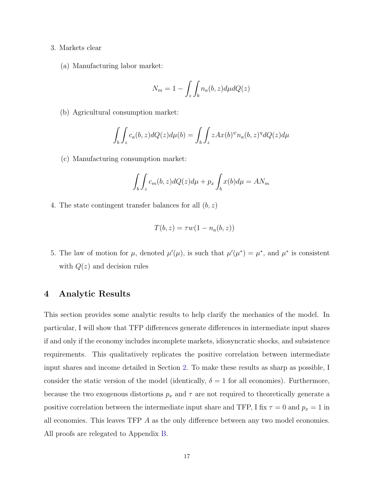- 3. Markets clear
	- (a) Manufacturing labor market:

$$
N_m = 1 - \int_z \int_b n_a(b, z) d\mu dQ(z)
$$

(b) Agricultural consumption market:

$$
\int_b \int_z c_a(b, z) dQ(z) d\mu(b) = \int_b \int_z z A x(b)^\psi n_a(b, z)^\eta dQ(z) d\mu
$$

(c) Manufacturing consumption market:

$$
\int_{b} \int_{z} c_{m}(b, z) dQ(z) d\mu + p_{x} \int_{b} x(b) d\mu = AN_{m}
$$

4. The state contingent transfer balances for all  $(b, z)$ 

$$
T(b, z) = \tau w(1 - n_a(b, z))
$$

5. The law of motion for  $\mu$ , denoted  $\mu'(\mu)$ , is such that  $\mu'(\mu^*) = \mu^*$ , and  $\mu^*$  is consistent with  $Q(z)$  and decision rules

# <span id="page-17-0"></span>4 Analytic Results

This section provides some analytic results to help clarify the mechanics of the model. In particular, I will show that TFP differences generate differences in intermediate input shares if and only if the economy includes incomplete markets, idiosyncratic shocks, and subsistence requirements. This qualitatively replicates the positive correlation between intermediate input shares and income detailed in Section [2.](#page-5-0) To make these results as sharp as possible, I consider the static version of the model (identically,  $\delta = 1$  for all economies). Furthermore, because the two exogenous distortions  $p_x$  and  $\tau$  are not required to theoretically generate a positive correlation between the intermediate input share and TFP, I fix  $\tau = 0$  and  $p_x = 1$  in all economies. This leaves TFP A as the only difference between any two model economies. All proofs are relegated to Appendix [B.](#page-42-0)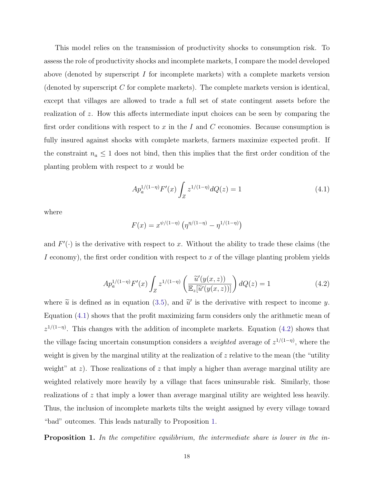This model relies on the transmission of productivity shocks to consumption risk. To assess the role of productivity shocks and incomplete markets, I compare the model developed above (denoted by superscript I for incomplete markets) with a complete markets version (denoted by superscript  $C$  for complete markets). The complete markets version is identical, except that villages are allowed to trade a full set of state contingent assets before the realization of z. How this affects intermediate input choices can be seen by comparing the first order conditions with respect to  $x$  in the  $I$  and  $C$  economies. Because consumption is fully insured against shocks with complete markets, farmers maximize expected profit. If the constraint  $n_a \leq 1$  does not bind, then this implies that the first order condition of the planting problem with respect to  $x$  would be

<span id="page-18-0"></span>
$$
Ap_a^{1/(1-\eta)} F'(x) \int_Z z^{1/(1-\eta)} dQ(z) = 1 \tag{4.1}
$$

where

$$
F(x) = x^{\psi/(1-\eta)} \left( \eta^{\eta/(1-\eta)} - \eta^{1/(1-\eta)} \right)
$$

<span id="page-18-1"></span>and  $F'(\cdot)$  is the derivative with respect to x. Without the ability to trade these claims (the I economy), the first order condition with respect to x of the village planting problem yields

$$
Ap_a^{1/(1-\eta)} F'(x) \int_Z z^{1/(1-\eta)} \left( \frac{\tilde{u}'(y(x,z))}{\mathbb{E}_z[\tilde{u}'(y(x,z))]} \right) dQ(z) = 1 \tag{4.2}
$$

where  $\tilde{u}$  is defined as in equation [\(3.5\)](#page-14-1), and  $\tilde{u}'$  is the derivative with respect to income y. Equation [\(4.1\)](#page-18-0) shows that the profit maximizing farm considers only the arithmetic mean of  $z^{1/(1-\eta)}$ . This changes with the addition of incomplete markets. Equation [\(4.2\)](#page-18-1) shows that the village facing uncertain consumption considers a *weighted* average of  $z^{1/(1-\eta)}$ , where the weight is given by the marginal utility at the realization of  $z$  relative to the mean (the "utility weight" at z). Those realizations of z that imply a higher than average marginal utility are weighted relatively more heavily by a village that faces uninsurable risk. Similarly, those realizations of z that imply a lower than average marginal utility are weighted less heavily. Thus, the inclusion of incomplete markets tilts the weight assigned by every village toward "bad" outcomes. This leads naturally to Proposition [1.](#page-18-2)

<span id="page-18-2"></span>Proposition 1. In the competitive equilibrium, the intermediate share is lower in the in-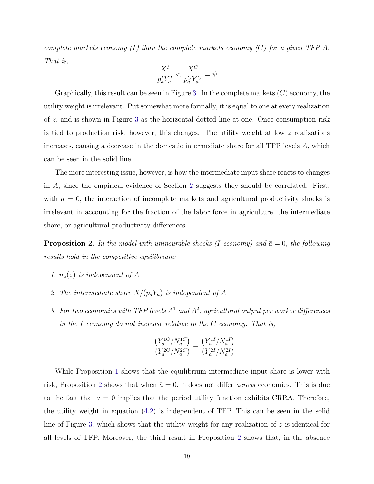complete markets economy  $(I)$  than the complete markets economy  $(C)$  for a given TFP A. That is,

$$
\frac{X^I}{p_a^I Y_a^I} < \frac{X^C}{p_a^CY_a^C} = \psi
$$

Graphically, this result can be seen in Figure [3.](#page-20-0) In the complete markets  $(C)$  economy, the utility weight is irrelevant. Put somewhat more formally, it is equal to one at every realization of z, and is shown in Figure [3](#page-20-0) as the horizontal dotted line at one. Once consumption risk is tied to production risk, however, this changes. The utility weight at low  $z$  realizations increases, causing a decrease in the domestic intermediate share for all TFP levels A, which can be seen in the solid line.

The more interesting issue, however, is how the intermediate input share reacts to changes in A, since the empirical evidence of Section [2](#page-5-0) suggests they should be correlated. First, with  $\bar{a} = 0$ , the interaction of incomplete markets and agricultural productivity shocks is irrelevant in accounting for the fraction of the labor force in agriculture, the intermediate share, or agricultural productivity differences.

<span id="page-19-0"></span>**Proposition 2.** In the model with uninsurable shocks (I economy) and  $\bar{a}=0$ , the following results hold in the competitive equilibrium:

- 1.  $n_a(z)$  is independent of A
- 2. The intermediate share  $X/(p_a Y_a)$  is independent of A
- 3. For two economies with TFP levels  $A<sup>1</sup>$  and  $A<sup>2</sup>$ , agricultural output per worker differences in the I economy do not increase relative to the  $C$  economy. That is,

$$
\frac{\left(Y_a^{1C}/N_a^{1C}\right)}{\left(Y_a^{2C}/N_a^{2C}\right)} = \frac{\left(Y_a^{1I}/N_a^{1I}\right)}{\left(Y_a^{2I}/N_a^{2I}\right)}
$$

While Proposition [1](#page-18-2) shows that the equilibrium intermediate input share is lower with risk, Proposition [2](#page-19-0) shows that when  $\bar{a} = 0$ , it does not differ *across* economies. This is due to the fact that  $\bar{a} = 0$  implies that the period utility function exhibits CRRA. Therefore, the utility weight in equation [\(4.2\)](#page-18-1) is independent of TFP. This can be seen in the solid line of Figure [3,](#page-20-0) which shows that the utility weight for any realization of  $z$  is identical for all levels of TFP. Moreover, the third result in Proposition [2](#page-19-0) shows that, in the absence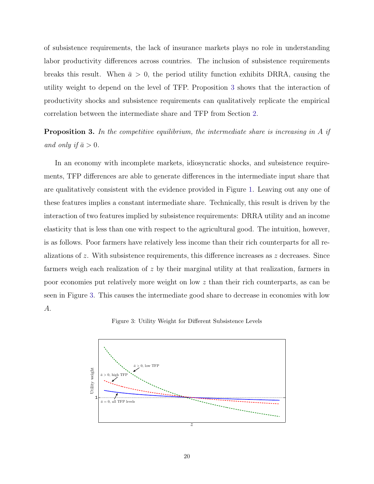of subsistence requirements, the lack of insurance markets plays no role in understanding labor productivity differences across countries. The inclusion of subsistence requirements breaks this result. When  $\bar{a} > 0$ , the period utility function exhibits DRRA, causing the utility weight to depend on the level of TFP. Proposition [3](#page-20-1) shows that the interaction of productivity shocks and subsistence requirements can qualitatively replicate the empirical correlation between the intermediate share and TFP from Section [2.](#page-5-0)

<span id="page-20-1"></span>**Proposition 3.** In the competitive equilibrium, the intermediate share is increasing in A if and only if  $\bar{a} > 0$ .

In an economy with incomplete markets, idiosyncratic shocks, and subsistence requirements, TFP differences are able to generate differences in the intermediate input share that are qualitatively consistent with the evidence provided in Figure [1.](#page-6-0) Leaving out any one of these features implies a constant intermediate share. Technically, this result is driven by the interaction of two features implied by subsistence requirements: DRRA utility and an income elasticity that is less than one with respect to the agricultural good. The intuition, however, is as follows. Poor farmers have relatively less income than their rich counterparts for all realizations of z. With subsistence requirements, this difference increases as z decreases. Since farmers weigh each realization of  $z$  by their marginal utility at that realization, farmers in poor economies put relatively more weight on low z than their rich counterparts, as can be seen in Figure [3.](#page-20-0) This causes the intermediate good share to decrease in economies with low A.

Figure 3: Utility Weight for Different Subsistence Levels

<span id="page-20-0"></span>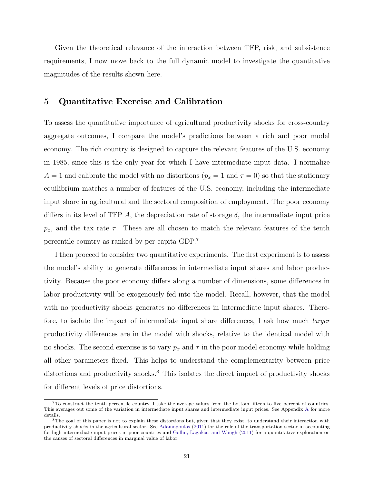Given the theoretical relevance of the interaction between TFP, risk, and subsistence requirements, I now move back to the full dynamic model to investigate the quantitative magnitudes of the results shown here.

# <span id="page-21-0"></span>5 Quantitative Exercise and Calibration

To assess the quantitative importance of agricultural productivity shocks for cross-country aggregate outcomes, I compare the model's predictions between a rich and poor model economy. The rich country is designed to capture the relevant features of the U.S. economy in 1985, since this is the only year for which I have intermediate input data. I normalize  $A = 1$  and calibrate the model with no distortions  $(p_x = 1 \text{ and } \tau = 0)$  so that the stationary equilibrium matches a number of features of the U.S. economy, including the intermediate input share in agricultural and the sectoral composition of employment. The poor economy differs in its level of TFP A, the depreciation rate of storage  $\delta$ , the intermediate input price  $p_x$ , and the tax rate  $\tau$ . These are all chosen to match the relevant features of the tenth percentile country as ranked by per capita GDP.<sup>7</sup>

I then proceed to consider two quantitative experiments. The first experiment is to assess the model's ability to generate differences in intermediate input shares and labor productivity. Because the poor economy differs along a number of dimensions, some differences in labor productivity will be exogenously fed into the model. Recall, however, that the model with no productivity shocks generates no differences in intermediate input shares. Therefore, to isolate the impact of intermediate input share differences, I ask how much larger productivity differences are in the model with shocks, relative to the identical model with no shocks. The second exercise is to vary  $p_x$  and  $\tau$  in the poor model economy while holding all other parameters fixed. This helps to understand the complementarity between price distortions and productivity shocks.<sup>8</sup> This isolates the direct impact of productivity shocks for different levels of price distortions.

 $7T\sigma$  construct the tenth percentile country, I take the average values from the bottom fifteen to five percent of countries. This averages out some of the variation in intermediate input shares and intermediate input prices. See Appendix [A](#page-40-0) for more details.

<sup>&</sup>lt;sup>8</sup>The goal of this paper is not to explain these distortions but, given that they exist, to understand their interaction with productivity shocks in the agricultural sector. See [Adamopoulos](#page-36-8) [\(2011\)](#page-36-8) for the role of the transportation sector in accounting for high intermediate input prices in poor countries and [Gollin, Lagakos, and Waugh](#page-37-4) [\(2011\)](#page-37-4) for a quantitative exploration on the causes of sectoral differences in marginal value of labor.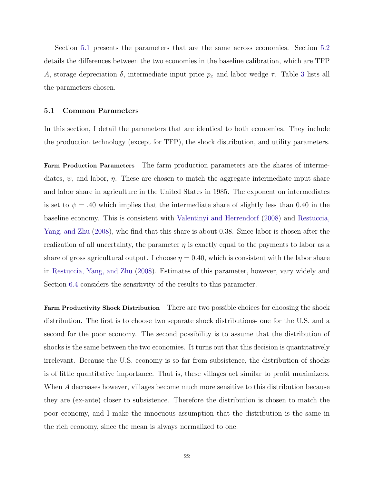Section [5.1](#page-22-0) presents the parameters that are the same across economies. Section [5.2](#page-25-0) details the differences between the two economies in the baseline calibration, which are TFP A, storage depreciation  $\delta$ , intermediate input price  $p_x$  and labor wedge  $\tau$ . Table [3](#page-27-1) lists all the parameters chosen.

## <span id="page-22-0"></span>5.1 Common Parameters

In this section, I detail the parameters that are identical to both economies. They include the production technology (except for TFP), the shock distribution, and utility parameters.

Farm Production Parameters The farm production parameters are the shares of intermediates,  $\psi$ , and labor,  $\eta$ . These are chosen to match the aggregate intermediate input share and labor share in agriculture in the United States in 1985. The exponent on intermediates is set to  $\psi = .40$  which implies that the intermediate share of slightly less than 0.40 in the baseline economy. This is consistent with [Valentinyi and Herrendorf](#page-39-4) [\(2008\)](#page-39-4) and [Restuccia,](#page-38-0) [Yang, and Zhu](#page-38-0) [\(2008\)](#page-38-0), who find that this share is about 0.38. Since labor is chosen after the realization of all uncertainty, the parameter  $\eta$  is exactly equal to the payments to labor as a share of gross agricultural output. I choose  $\eta = 0.40$ , which is consistent with the labor share in [Restuccia, Yang, and Zhu](#page-38-0) [\(2008\)](#page-38-0). Estimates of this parameter, however, vary widely and Section [6.4](#page-33-0) considers the sensitivity of the results to this parameter.

Farm Productivity Shock Distribution There are two possible choices for choosing the shock distribution. The first is to choose two separate shock distributions- one for the U.S. and a second for the poor economy. The second possibility is to assume that the distribution of shocks is the same between the two economies. It turns out that this decision is quantitatively irrelevant. Because the U.S. economy is so far from subsistence, the distribution of shocks is of little quantitative importance. That is, these villages act similar to profit maximizers. When A decreases however, villages become much more sensitive to this distribution because they are (ex-ante) closer to subsistence. Therefore the distribution is chosen to match the poor economy, and I make the innocuous assumption that the distribution is the same in the rich economy, since the mean is always normalized to one.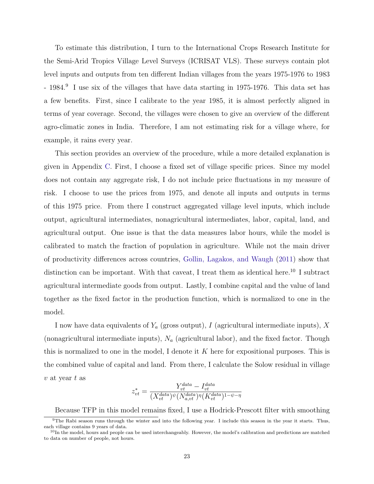To estimate this distribution, I turn to the International Crops Research Institute for the Semi-Arid Tropics Village Level Surveys (ICRISAT VLS). These surveys contain plot level inputs and outputs from ten different Indian villages from the years 1975-1976 to 1983 - 1984.<sup>9</sup> I use six of the villages that have data starting in 1975-1976. This data set has a few benefits. First, since I calibrate to the year 1985, it is almost perfectly aligned in terms of year coverage. Second, the villages were chosen to give an overview of the different agro-climatic zones in India. Therefore, I am not estimating risk for a village where, for example, it rains every year.

This section provides an overview of the procedure, while a more detailed explanation is given in Appendix [C.](#page-48-0) First, I choose a fixed set of village specific prices. Since my model does not contain any aggregate risk, I do not include price fluctuations in my measure of risk. I choose to use the prices from 1975, and denote all inputs and outputs in terms of this 1975 price. From there I construct aggregated village level inputs, which include output, agricultural intermediates, nonagricultural intermediates, labor, capital, land, and agricultural output. One issue is that the data measures labor hours, while the model is calibrated to match the fraction of population in agriculture. While not the main driver of productivity differences across countries, [Gollin, Lagakos, and Waugh](#page-37-4) [\(2011\)](#page-37-4) show that distinction can be important. With that caveat, I treat them as identical here.<sup>10</sup> I subtract agricultural intermediate goods from output. Lastly, I combine capital and the value of land together as the fixed factor in the production function, which is normalized to one in the model.

I now have data equivalents of  $Y_a$  (gross output), I (agricultural intermediate inputs), X (nonagricultural intermediate inputs),  $N_a$  (agricultural labor), and the fixed factor. Though this is normalized to one in the model, I denote it  $K$  here for expositional purposes. This is the combined value of capital and land. From there, I calculate the Solow residual in village  $v$  at year  $t$  as

$$
z_{vt}^* = \frac{Y_{vt}^{data} - I_{vt}^{data}}{(X_{vt}^{data})^{\psi}(N_{a,vt}^{data})^{\eta}(K_{vt}^{data})^{1-\psi-\eta}}
$$

Because TFP in this model remains fixed, I use a Hodrick-Prescott filter with smoothing

<sup>9</sup>The Rabi season runs through the winter and into the following year. I include this season in the year it starts. Thus, each village contains 9 years of data.

 $10$ In the model, hours and people can be used interchangeably. However, the model's calibration and predictions are matched to data on number of people, not hours.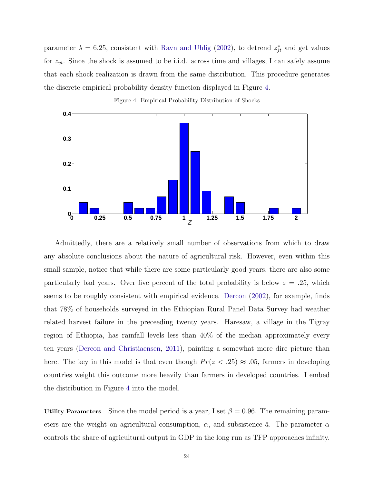parameter  $\lambda = 6.25$ , consistent with [Ravn and Uhlig](#page-38-12) [\(2002\)](#page-38-12), to detrend  $z_{jt}^*$  and get values for  $z_{vt}$ . Since the shock is assumed to be i.i.d. across time and villages, I can safely assume that each shock realization is drawn from the same distribution. This procedure generates the discrete empirical probability density function displayed in Figure [4.](#page-24-0)

<span id="page-24-0"></span>

Figure 4: Empirical Probability Distribution of Shocks

Admittedly, there are a relatively small number of observations from which to draw any absolute conclusions about the nature of agricultural risk. However, even within this small sample, notice that while there are some particularly good years, there are also some particularly bad years. Over five percent of the total probability is below  $z = .25$ , which seems to be roughly consistent with empirical evidence. [Dercon](#page-36-9) [\(2002\)](#page-36-9), for example, finds that 78% of households surveyed in the Ethiopian Rural Panel Data Survey had weather related harvest failure in the preceeding twenty years. Haresaw, a village in the Tigray region of Ethiopia, has rainfall levels less than 40% of the median approximately every ten years [\(Dercon and Christiaensen,](#page-36-5) [2011\)](#page-36-5), painting a somewhat more dire picture than here. The key in this model is that even though  $Pr(z < .25) \approx .05$ , farmers in developing countries weight this outcome more heavily than farmers in developed countries. I embed the distribution in Figure [4](#page-24-0) into the model.

Utility Parameters Since the model period is a year, I set  $\beta = 0.96$ . The remaining parameters are the weight on agricultural consumption,  $\alpha$ , and subsistence  $\bar{a}$ . The parameter  $\alpha$ controls the share of agricultural output in GDP in the long run as TFP approaches infinity.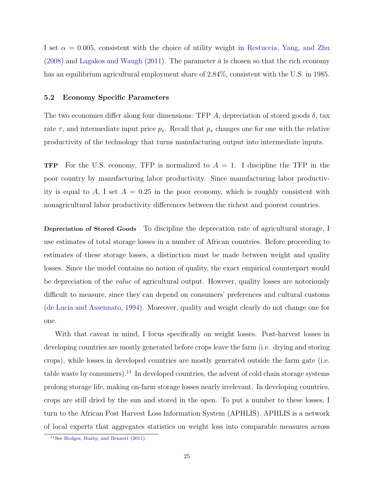I set  $\alpha = 0.005$ , consistent with the choice of utility weight in [Restuccia, Yang, and Zhu](#page-38-0) [\(2008\)](#page-38-0) and [Lagakos and Waugh](#page-38-4) [\(2011\)](#page-38-4). The parameter  $\bar{a}$  is chosen so that the rich economy has an equilibrium agricultural employment share of 2.84%, consistent with the U.S. in 1985.

### <span id="page-25-0"></span>5.2 Economy Specific Parameters

The two economies differ along four dimensions: TFP A, depreciation of stored goods  $\delta$ , tax rate  $\tau$ , and intermediate input price  $p_x$ . Recall that  $p_x$  changes one for one with the relative productivity of the technology that turns manufacturing output into intermediate inputs.

**TFP** For the U.S. economy, TFP is normalized to  $A = 1$ . I discipline the TFP in the poor country by manufacturing labor productivity. Since manufacturing labor productivity is equal to A, I set  $A = 0.25$  in the poor economy, which is roughly consistent with nonagricultural labor productivity differences between the richest and poorest countries.

Depreciation of Stored Goods To discipline the deprecation rate of agricultural storage, I use estimates of total storage losses in a number of African countries. Before proceeding to estimates of these storage losses, a distinction must be made between weight and quality losses. Since the model contains no notion of quality, the exact empirical counterpart would be depreciation of the *value* of agricultural output. However, quality losses are notoriously difficult to measure, since they can depend on consumers' preferences and cultural customs [\(de Lucia and Assennato,](#page-36-10) [1994\)](#page-36-10). Moreover, quality and weight clearly do not change one for one.

With that caveat in mind, I focus specifically on weight losses. Post-harvest losses in developing countries are mostly generated before crops leave the farm (i.e. drying and storing crops), while losses in developed countries are mostly generated outside the farm gate (i.e. table waste by consumers).<sup>11</sup> In developed countries, the advent of cold chain storage systems prolong storage life, making on-farm storage losses nearly irrelevant. In developing countries, crops are still dried by the sun and stored in the open. To put a number to these losses, I turn to the African Post Harvest Loss Information System (APHLIS). APHLIS is a network of local experts that aggregates statistics on weight loss into comparable measures across

<sup>11</sup>See [Hodges, Buzby, and Bennett](#page-37-9) [\(2011\)](#page-37-9).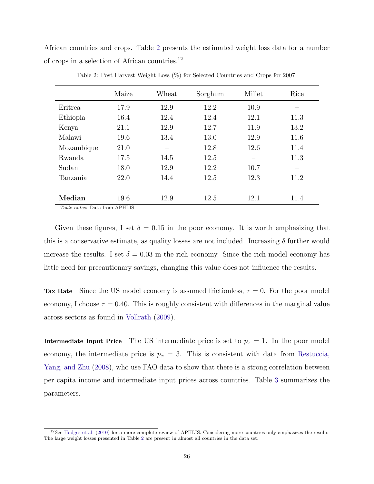African countries and crops. Table [2](#page-26-0) presents the estimated weight loss data for a number of crops in a selection of African countries.<sup>12</sup>

<span id="page-26-0"></span>

|                                                                                      | Maize | Wheat | Sorghum | Millet | Rice                     |
|--------------------------------------------------------------------------------------|-------|-------|---------|--------|--------------------------|
| Eritrea                                                                              | 17.9  | 12.9  | 12.2    | 10.9   | $\overline{\phantom{0}}$ |
| Ethiopia                                                                             | 16.4  | 12.4  | 12.4    | 12.1   | 11.3                     |
| Kenya                                                                                | 21.1  | 12.9  | 12.7    | 11.9   | 13.2                     |
| Malawi                                                                               | 19.6  | 13.4  | 13.0    | 12.9   | 11.6                     |
| Mozambique                                                                           | 21.0  |       | 12.8    | 12.6   | 11.4                     |
| Rwanda                                                                               | 17.5  | 14.5  | 12.5    |        | 11.3                     |
| Sudan                                                                                | 18.0  | 12.9  | 12.2    | 10.7   |                          |
| Tanzania                                                                             | 22.0  | 14.4  | 12.5    | 12.3   | 11.2                     |
|                                                                                      |       |       |         |        |                          |
| Median<br>$T1$ , $12$ , $13$ , $14$ , $15$ , $16$ , $17$ , $18$ , $19$ , $11$ , $11$ | 19.6  | 12.9  | 12.5    | 12.1   | 11.4                     |

Table 2: Post Harvest Weight Loss (%) for Selected Countries and Crops for 2007

Table notes: Data from APHLIS

Given these figures, I set  $\delta = 0.15$  in the poor economy. It is worth emphasizing that this is a conservative estimate, as quality losses are not included. Increasing  $\delta$  further would increase the results. I set  $\delta = 0.03$  in the rich economy. Since the rich model economy has little need for precautionary savings, changing this value does not influence the results.

Tax Rate Since the US model economy is assumed frictionless,  $\tau = 0$ . For the poor model economy, I choose  $\tau = 0.40$ . This is roughly consistent with differences in the marginal value across sectors as found in [Vollrath](#page-39-5) [\(2009\)](#page-39-5).

Intermediate Input Price The US intermediate price is set to  $p_x = 1$ . In the poor model economy, the intermediate price is  $p_x = 3$ . This is consistent with data from [Restuccia,](#page-38-0) [Yang, and Zhu](#page-38-0) [\(2008\)](#page-38-0), who use FAO data to show that there is a strong correlation between per capita income and intermediate input prices across countries. Table [3](#page-27-1) summarizes the parameters.

 $12$ See [Hodges et al.](#page-37-10) [\(2010\)](#page-37-10) for a more complete review of APHLIS. Considering more countries only emphasizes the results. The large weight losses presented in Table [2](#page-26-0) are present in almost all countries in the data set.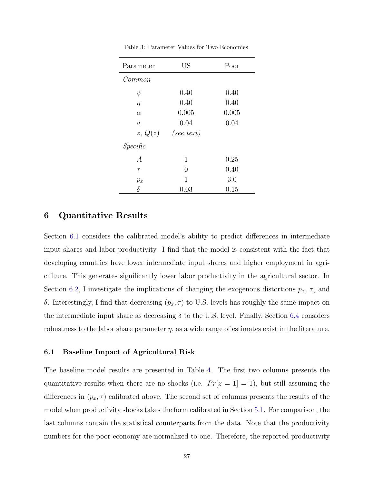<span id="page-27-1"></span>

| Parameter      | <b>US</b>            | Poor  |
|----------------|----------------------|-------|
| Common         |                      |       |
| $\psi$         | 0.40                 | 0.40  |
| $\eta$         | 0.40                 | 0.40  |
| $\alpha$       | 0.005                | 0.005 |
| $\bar{a}$      | 0.04                 | 0.04  |
|                | $z, Q(z)$ (see text) |       |
| Specific       |                      |       |
| $\overline{A}$ | 1                    | 0.25  |
| $\tau$         | 0                    | 0.40  |
| $p_x$          | 1                    | 3.0   |
| δ              | 0.03                 | 0.15  |

Table 3: Parameter Values for Two Economies

# <span id="page-27-0"></span>6 Quantitative Results

Section [6.1](#page-27-2) considers the calibrated model's ability to predict differences in intermediate input shares and labor productivity. I find that the model is consistent with the fact that developing countries have lower intermediate input shares and higher employment in agriculture. This generates significantly lower labor productivity in the agricultural sector. In Section [6.2,](#page-30-0) I investigate the implications of changing the exogenous distortions  $p_x$ ,  $\tau$ , and δ. Interestingly, I find that decreasing  $(p_x, τ)$  to U.S. levels has roughly the same impact on the intermediate input share as decreasing  $\delta$  to the U.S. level. Finally, Section [6.4](#page-33-0) considers robustness to the labor share parameter  $\eta$ , as a wide range of estimates exist in the literature.

## <span id="page-27-2"></span>6.1 Baseline Impact of Agricultural Risk

The baseline model results are presented in Table [4.](#page-28-0) The first two columns presents the quantitative results when there are no shocks (i.e.  $Pr[z = 1] = 1$ ), but still assuming the differences in  $(p_x, \tau)$  calibrated above. The second set of columns presents the results of the model when productivity shocks takes the form calibrated in Section [5.1.](#page-22-0) For comparison, the last columns contain the statistical counterparts from the data. Note that the productivity numbers for the poor economy are normalized to one. Therefore, the reported productivity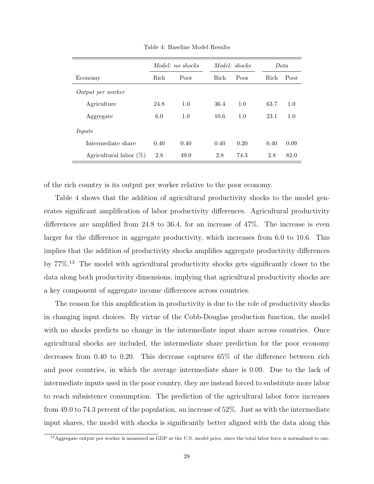<span id="page-28-0"></span>

|                           | Model: no shocks |      |      | Model: shocks |      | Data |  |  |
|---------------------------|------------------|------|------|---------------|------|------|--|--|
| Economy                   | Rich<br>Poor     |      | Rich | Poor          | Rich | Poor |  |  |
| Output per worker         |                  |      |      |               |      |      |  |  |
| Agriculture               | 24.8             | 1.0  | 36.4 | 1.0           | 63.7 | 1.0  |  |  |
| Aggregate                 | 6.0              | 1.0  | 10.6 | 1.0           | 23.1 | 1.0  |  |  |
| Inputs                    |                  |      |      |               |      |      |  |  |
| Intermediate share        | 0.40             | 0.40 | 0.40 | 0.20          | 0.40 | 0.09 |  |  |
| Agricultural labor $(\%)$ | 2.8              | 49.0 | 2.8  | 74.3          | 2.8  | 82.0 |  |  |

Table 4: Baseline Model Results

of the rich country is its output per worker relative to the poor economy.

Table [4](#page-28-0) shows that the addition of agricultural productivity shocks to the model generates significant amplification of labor productivity differences. Agricultural productivity differences are amplified from 24.8 to 36.4, for an increase of 47%. The increase is even larger for the difference in aggregate productivity, which increases from 6.0 to 10.6. This implies that the addition of productivity shocks amplifies aggregate productivity differences by 77%.<sup>13</sup> The model with agricultural productivity shocks gets significantly closer to the data along both productivity dimensions, implying that agricultural productivity shocks are a key component of aggregate income differences across countries.

The reason for this amplification in productivity is due to the role of productivity shocks in changing input choices. By virtue of the Cobb-Douglas production function, the model with no shocks predicts no change in the intermediate input share across countries. Once agricultural shocks are included, the intermediate share prediction for the poor economy decreases from 0.40 to 0.20. This decrease captures 65% of the difference between rich and poor countries, in which the average intermediate share is 0.09. Due to the lack of intermediate inputs used in the poor country, they are instead forced to substitute more labor to reach subsistence consumption. The prediction of the agricultural labor force increases from 49.0 to 74.3 percent of the population, an increase of 52%. Just as with the intermediate input shares, the model with shocks is significantly better aligned with the data along this

<sup>&</sup>lt;sup>13</sup>Aggregate output per worker is measured as GDP at the U.S. model price, since the total labor force is normalized to one.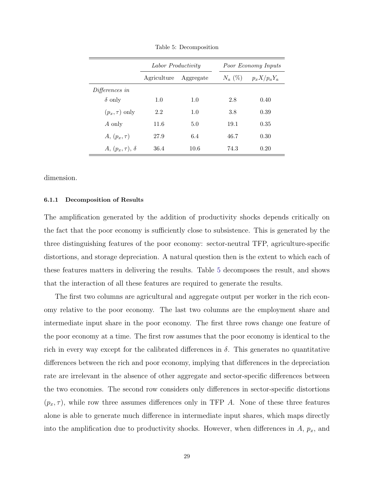<span id="page-29-0"></span>

|                          | Labor Productivity |           | Poor Economy Inputs |           |                   |  |
|--------------------------|--------------------|-----------|---------------------|-----------|-------------------|--|
|                          | Agriculture        | Aggregate |                     | $N_a$ (%) | $p_x X / p_a Y_a$ |  |
| Differences in           |                    |           |                     |           |                   |  |
| $\delta$ only            | 1.0                | 1.0       |                     | 2.8       | 0.40              |  |
| $(p_x, \tau)$ only       | 2.2                | 1.0       |                     | 3.8       | 0.39              |  |
| A only                   | 11.6               | 5.0       |                     | 19.1      | 0.35              |  |
| $A, (p_x, \tau)$         | 27.9               | 6.4       |                     | 46.7      | 0.30              |  |
| $A, (p_x, \tau), \delta$ | 36.4               | 10.6      |                     | 74.3      | 0.20              |  |

Table 5: Decomposition

dimension.

### 6.1.1 Decomposition of Results

The amplification generated by the addition of productivity shocks depends critically on the fact that the poor economy is sufficiently close to subsistence. This is generated by the three distinguishing features of the poor economy: sector-neutral TFP, agriculture-specific distortions, and storage depreciation. A natural question then is the extent to which each of these features matters in delivering the results. Table [5](#page-29-0) decomposes the result, and shows that the interaction of all these features are required to generate the results.

The first two columns are agricultural and aggregate output per worker in the rich economy relative to the poor economy. The last two columns are the employment share and intermediate input share in the poor economy. The first three rows change one feature of the poor economy at a time. The first row assumes that the poor economy is identical to the rich in every way except for the calibrated differences in  $\delta$ . This generates no quantitative differences between the rich and poor economy, implying that differences in the depreciation rate are irrelevant in the absence of other aggregate and sector-specific differences between the two economies. The second row considers only differences in sector-specific distortions  $(p_x, \tau)$ , while row three assumes differences only in TFP A. None of these three features alone is able to generate much difference in intermediate input shares, which maps directly into the amplification due to productivity shocks. However, when differences in  $A$ ,  $p_x$ , and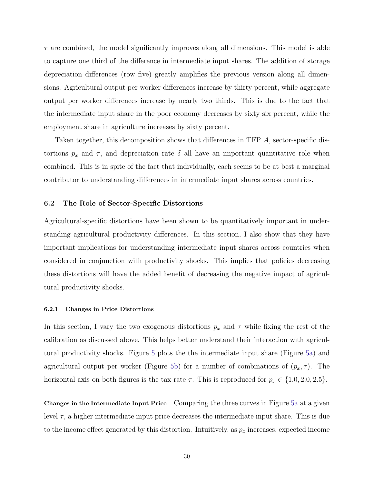$\tau$  are combined, the model significantly improves along all dimensions. This model is able to capture one third of the difference in intermediate input shares. The addition of storage depreciation differences (row five) greatly amplifies the previous version along all dimensions. Agricultural output per worker differences increase by thirty percent, while aggregate output per worker differences increase by nearly two thirds. This is due to the fact that the intermediate input share in the poor economy decreases by sixty six percent, while the employment share in agriculture increases by sixty percent.

Taken together, this decomposition shows that differences in TFP A, sector-specific distortions  $p_x$  and  $\tau$ , and depreciation rate  $\delta$  all have an important quantitative role when combined. This is in spite of the fact that individually, each seems to be at best a marginal contributor to understanding differences in intermediate input shares across countries.

### <span id="page-30-0"></span>6.2 The Role of Sector-Specific Distortions

Agricultural-specific distortions have been shown to be quantitatively important in understanding agricultural productivity differences. In this section, I also show that they have important implications for understanding intermediate input shares across countries when considered in conjunction with productivity shocks. This implies that policies decreasing these distortions will have the added benefit of decreasing the negative impact of agricultural productivity shocks.

### 6.2.1 Changes in Price Distortions

In this section, I vary the two exogenous distortions  $p_x$  and  $\tau$  while fixing the rest of the calibration as discussed above. This helps better understand their interaction with agricultural productivity shocks. Figure [5](#page-31-0) plots the the intermediate input share (Figure [5a\)](#page-31-1) and agricultural output per worker (Figure [5b\)](#page-31-2) for a number of combinations of  $(p_x, \tau)$ . The horizontal axis on both figures is the tax rate  $\tau$ . This is reproduced for  $p_x \in \{1.0, 2.0, 2.5\}$ .

Changes in the Intermediate Input Price Comparing the three curves in Figure [5a](#page-31-1) at a given level  $\tau$ , a higher intermediate input price decreases the intermediate input share. This is due to the income effect generated by this distortion. Intuitively, as  $p_x$  increases, expected income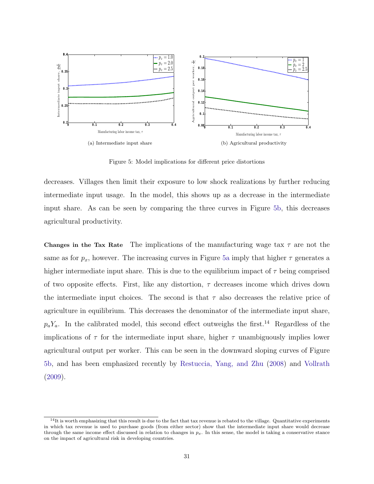<span id="page-31-1"></span><span id="page-31-0"></span>

<span id="page-31-2"></span>Figure 5: Model implications for different price distortions

decreases. Villages then limit their exposure to low shock realizations by further reducing intermediate input usage. In the model, this shows up as a decrease in the intermediate input share. As can be seen by comparing the three curves in Figure [5b,](#page-31-2) this decreases agricultural productivity.

**Changes in the Tax Rate** The implications of the manufacturing wage tax  $\tau$  are not the same as for  $p_x$ , however. The increasing curves in Figure [5a](#page-31-1) imply that higher  $\tau$  generates a higher intermediate input share. This is due to the equilibrium impact of  $\tau$  being comprised of two opposite effects. First, like any distortion,  $\tau$  decreases income which drives down the intermediate input choices. The second is that  $\tau$  also decreases the relative price of agriculture in equilibrium. This decreases the denominator of the intermediate input share,  $p_aY_a$ . In the calibrated model, this second effect outweighs the first.<sup>14</sup> Regardless of the implications of  $\tau$  for the intermediate input share, higher  $\tau$  unambiguously implies lower agricultural output per worker. This can be seen in the downward sloping curves of Figure [5b,](#page-31-2) and has been emphasized recently by [Restuccia, Yang, and Zhu](#page-38-0) [\(2008\)](#page-38-0) and [Vollrath](#page-39-5) [\(2009\)](#page-39-5).

 $14$ It is worth emphasizing that this result is due to the fact that tax revenue is rebated to the village. Quantitative experiments in which tax revenue is used to purchase goods (from either sector) show that the intermediate input share would decrease through the same income effect discussed in relation to changes in  $p_x$ . In this sense, the model is taking a conservative stance on the impact of agricultural risk in developing countries.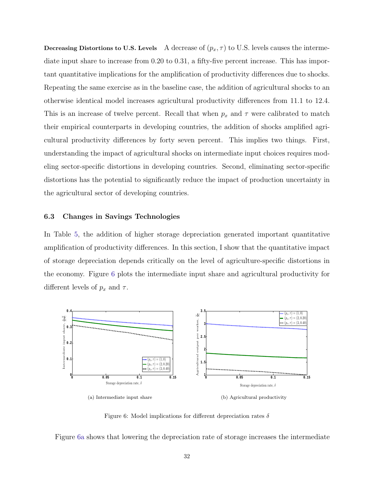Decreasing Distortions to U.S. Levels A decrease of  $(p_x, \tau)$  to U.S. levels causes the intermediate input share to increase from 0.20 to 0.31, a fifty-five percent increase. This has important quantitative implications for the amplification of productivity differences due to shocks. Repeating the same exercise as in the baseline case, the addition of agricultural shocks to an otherwise identical model increases agricultural productivity differences from 11.1 to 12.4. This is an increase of twelve percent. Recall that when  $p_x$  and  $\tau$  were calibrated to match their empirical counterparts in developing countries, the addition of shocks amplified agricultural productivity differences by forty seven percent. This implies two things. First, understanding the impact of agricultural shocks on intermediate input choices requires modeling sector-specific distortions in developing countries. Second, eliminating sector-specific distortions has the potential to significantly reduce the impact of production uncertainty in the agricultural sector of developing countries.

### 6.3 Changes in Savings Technologies

In Table [5,](#page-29-0) the addition of higher storage depreciation generated important quantitative amplification of productivity differences. In this section, I show that the quantitative impact of storage depreciation depends critically on the level of agriculture-specific distortions in the economy. Figure [6](#page-32-0) plots the intermediate input share and agricultural productivity for different levels of  $p_x$  and  $\tau$ .

<span id="page-32-1"></span><span id="page-32-0"></span>

<span id="page-32-2"></span>Figure 6: Model implications for different depreciation rates  $\delta$ 

Figure [6a](#page-32-1) shows that lowering the depreciation rate of storage increases the intermediate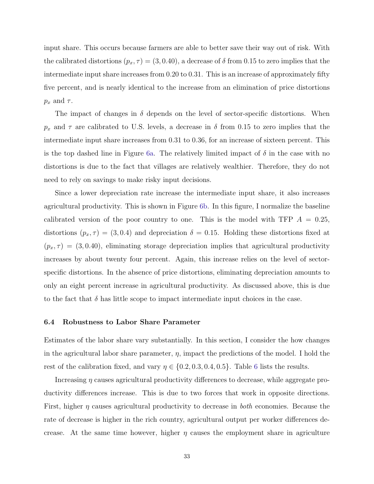input share. This occurs because farmers are able to better save their way out of risk. With the calibrated distortions  $(p_x, \tau) = (3, 0.40)$ , a decrease of  $\delta$  from 0.15 to zero implies that the intermediate input share increases from 0.20 to 0.31. This is an increase of approximately fifty five percent, and is nearly identical to the increase from an elimination of price distortions  $p_x$  and  $\tau$ .

The impact of changes in  $\delta$  depends on the level of sector-specific distortions. When  $p_x$  and  $\tau$  are calibrated to U.S. levels, a decrease in  $\delta$  from 0.15 to zero implies that the intermediate input share increases from 0.31 to 0.36, for an increase of sixteen percent. This is the top dashed line in Figure [6a.](#page-32-1) The relatively limited impact of  $\delta$  in the case with no distortions is due to the fact that villages are relatively wealthier. Therefore, they do not need to rely on savings to make risky input decisions.

Since a lower depreciation rate increase the intermediate input share, it also increases agricultural productivity. This is shown in Figure [6b.](#page-32-2) In this figure, I normalize the baseline calibrated version of the poor country to one. This is the model with TFP  $A = 0.25$ , distortions  $(p_x, \tau) = (3, 0.4)$  and depreciation  $\delta = 0.15$ . Holding these distortions fixed at  $(p_x, \tau) = (3, 0.40)$ , eliminating storage depreciation implies that agricultural productivity increases by about twenty four percent. Again, this increase relies on the level of sectorspecific distortions. In the absence of price distortions, eliminating depreciation amounts to only an eight percent increase in agricultural productivity. As discussed above, this is due to the fact that  $\delta$  has little scope to impact intermediate input choices in the case.

### <span id="page-33-0"></span>6.4 Robustness to Labor Share Parameter

Estimates of the labor share vary substantially. In this section, I consider the how changes in the agricultural labor share parameter,  $\eta$ , impact the predictions of the model. I hold the rest of the calibration fixed, and vary  $\eta \in \{0.2, 0.3, 0.4, 0.5\}$ . Table [6](#page-34-1) lists the results.

Increasing  $\eta$  causes agricultural productivity differences to decrease, while aggregate productivity differences increase. This is due to two forces that work in opposite directions. First, higher  $\eta$  causes agricultural productivity to decrease in *both* economies. Because the rate of decrease is higher in the rich country, agricultural output per worker differences decrease. At the same time however, higher  $\eta$  causes the employment share in agriculture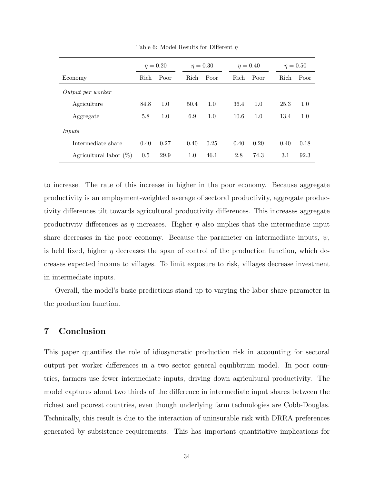<span id="page-34-1"></span>

|                           | $\eta = 0.20$ |      | $\eta = 0.30$ |      | $\eta = 0.40$ |      |  | $\eta = 0.50$ |      |
|---------------------------|---------------|------|---------------|------|---------------|------|--|---------------|------|
| Economy                   | Rich          | Poor | <b>Rich</b>   | Poor | <b>Rich</b>   | Poor |  | Rich          | Poor |
| Output per worker         |               |      |               |      |               |      |  |               |      |
| Agriculture               | 84.8          | 1.0  | 50.4          | 1.0  | 36.4          | 1.0  |  | 25.3          | 1.0  |
| Aggregate                 | 5.8           | 1.0  | 6.9           | 1.0  | 10.6          | 1.0  |  | 13.4          | 1.0  |
| Inputs                    |               |      |               |      |               |      |  |               |      |
| Intermediate share        | 0.40          | 0.27 | 0.40          | 0.25 | 0.40          | 0.20 |  | 0.40          | 0.18 |
| Agricultural labor $(\%)$ | 0.5           | 29.9 | 1.0           | 46.1 | 2.8           | 74.3 |  | 3.1           | 92.3 |

Table 6: Model Results for Different  $\eta$ 

to increase. The rate of this increase in higher in the poor economy. Because aggregate productivity is an employment-weighted average of sectoral productivity, aggregate productivity differences tilt towards agricultural productivity differences. This increases aggregate productivity differences as  $\eta$  increases. Higher  $\eta$  also implies that the intermediate input share decreases in the poor economy. Because the parameter on intermediate inputs,  $\psi$ , is held fixed, higher  $\eta$  decreases the span of control of the production function, which decreases expected income to villages. To limit exposure to risk, villages decrease investment in intermediate inputs.

Overall, the model's basic predictions stand up to varying the labor share parameter in the production function.

# <span id="page-34-0"></span>7 Conclusion

This paper quantifies the role of idiosyncratic production risk in accounting for sectoral output per worker differences in a two sector general equilibrium model. In poor countries, farmers use fewer intermediate inputs, driving down agricultural productivity. The model captures about two thirds of the difference in intermediate input shares between the richest and poorest countries, even though underlying farm technologies are Cobb-Douglas. Technically, this result is due to the interaction of uninsurable risk with DRRA preferences generated by subsistence requirements. This has important quantitative implications for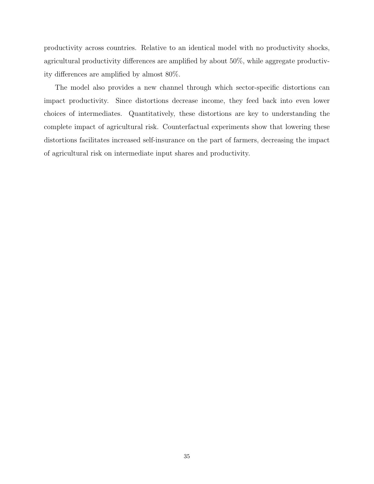productivity across countries. Relative to an identical model with no productivity shocks, agricultural productivity differences are amplified by about 50%, while aggregate productivity differences are amplified by almost 80%.

The model also provides a new channel through which sector-specific distortions can impact productivity. Since distortions decrease income, they feed back into even lower choices of intermediates. Quantitatively, these distortions are key to understanding the complete impact of agricultural risk. Counterfactual experiments show that lowering these distortions facilitates increased self-insurance on the part of farmers, decreasing the impact of agricultural risk on intermediate input shares and productivity.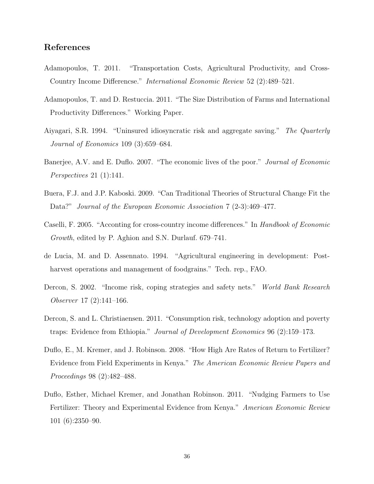# References

- <span id="page-36-8"></span>Adamopoulos, T. 2011. "Transportation Costs, Agricultural Productivity, and Cross-Country Income Differencse." International Economic Review 52 (2):489–521.
- <span id="page-36-2"></span>Adamopoulos, T. and D. Restuccia. 2011. "The Size Distribution of Farms and International Productivity Differences." Working Paper.
- <span id="page-36-6"></span>Aiyagari, S.R. 1994. "Uninsured idiosyncratic risk and aggregate saving." The Quarterly Journal of Economics 109 (3):659–684.
- <span id="page-36-7"></span>Banerjee, A.V. and E. Duflo. 2007. "The economic lives of the poor." *Journal of Economic* Perspectives 21 (1):141.
- <span id="page-36-1"></span>Buera, F.J. and J.P. Kaboski. 2009. "Can Traditional Theories of Structural Change Fit the Data?" Journal of the European Economic Association 7 (2-3):469–477.
- <span id="page-36-0"></span>Caselli, F. 2005. "Acconting for cross-country income differences." In Handbook of Economic Growth, edited by P. Aghion and S.N. Durlauf. 679–741.
- <span id="page-36-10"></span>de Lucia, M. and D. Assennato. 1994. "Agricultural engineering in development: Postharvest operations and management of foodgrains." Tech. rep., FAO.
- <span id="page-36-9"></span>Dercon, S. 2002. "Income risk, coping strategies and safety nets." World Bank Research Observer 17 (2):141–166.
- <span id="page-36-5"></span>Dercon, S. and L. Christiaensen. 2011. "Consumption risk, technology adoption and poverty traps: Evidence from Ethiopia." Journal of Development Economics 96 (2):159–173.
- <span id="page-36-3"></span>Duflo, E., M. Kremer, and J. Robinson. 2008. "How High Are Rates of Return to Fertilizer? Evidence from Field Experiments in Kenya." The American Economic Review Papers and Proceedings 98 (2):482–488.
- <span id="page-36-4"></span>Duflo, Esther, Michael Kremer, and Jonathan Robinson. 2011. "Nudging Farmers to Use Fertilizer: Theory and Experimental Evidence from Kenya." American Economic Review 101 (6):2350–90.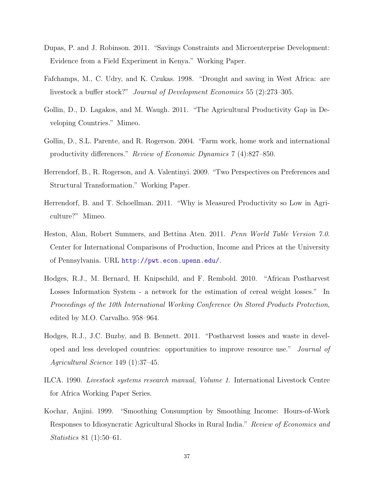- <span id="page-37-7"></span>Dupas, P. and J. Robinson. 2011. "Savings Constraints and Microenterprise Development: Evidence from a Field Experiment in Kenya." Working Paper.
- <span id="page-37-0"></span>Fafchamps, M., C. Udry, and K. Czukas. 1998. "Drought and saving in West Africa: are livestock a buffer stock?" Journal of Development Economics 55 (2):273–305.
- <span id="page-37-4"></span>Gollin, D., D. Lagakos, and M. Waugh. 2011. "The Agricultural Productivity Gap in Developing Countries." Mimeo.
- <span id="page-37-1"></span>Gollin, D., S.L. Parente, and R. Rogerson. 2004. "Farm work, home work and international productivity differences." Review of Economic Dynamics 7 (4):827–850.
- <span id="page-37-6"></span>Herrendorf, B., R. Rogerson, and A. Valentinyi. 2009. "Two Perspectives on Preferences and Structural Transformation." Working Paper.
- <span id="page-37-2"></span>Herrendorf, B. and T. Schoellman. 2011. "Why is Measured Productivity so Low in Agriculture?" Mimeo.
- <span id="page-37-3"></span>Heston, Alan, Robert Summers, and Bettina Aten. 2011. Penn World Table Version 7.0. Center for International Comparisons of Production, Income and Prices at the University of Pennsylvania. URL <http://pwt.econ.upenn.edu/>.
- <span id="page-37-10"></span>Hodges, R.J., M. Bernard, H. Knipschild, and F. Rembold. 2010. "African Postharvest Losses Information System - a network for the estimation of cereal weight losses." In Proceedings of the 10th International Working Conference On Stored Products Protection, edited by M.O. Carvalho. 958–964.
- <span id="page-37-9"></span>Hodges, R.J., J.C. Buzby, and B. Bennett. 2011. "Postharvest losses and waste in developed and less developed countries: opportunities to improve resource use." Journal of Agricultural Science 149 (1):37–45.
- <span id="page-37-8"></span>ILCA. 1990. Livestock systems research manual, Volume 1. International Livestock Centre for Africa Working Paper Series.
- <span id="page-37-5"></span>Kochar, Anjini. 1999. "Smoothing Consumption by Smoothing Income: Hours-of-Work Responses to Idiosyncratic Agricultural Shocks in Rural India." Review of Economics and Statistics 81 (1):50–61.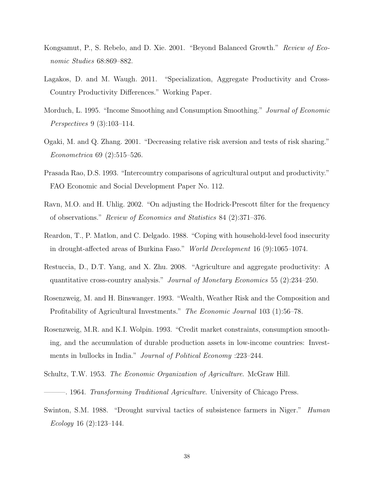- <span id="page-38-7"></span>Kongsamut, P., S. Rebelo, and D. Xie. 2001. "Beyond Balanced Growth." Review of Economic Studies 68:869–882.
- <span id="page-38-4"></span>Lagakos, D. and M. Waugh. 2011. "Specialization, Aggregate Productivity and Cross-Country Productivity Differences." Working Paper.
- <span id="page-38-2"></span>Morduch, L. 1995. "Income Smoothing and Consumption Smoothing." Journal of Economic Perspectives 9 (3):103–114.
- <span id="page-38-9"></span>Ogaki, M. and Q. Zhang. 2001. "Decreasing relative risk aversion and tests of risk sharing." Econometrica 69 (2):515–526.
- <span id="page-38-6"></span>Prasada Rao, D.S. 1993. "Intercountry comparisons of agricultural output and productivity." FAO Economic and Social Development Paper No. 112.
- <span id="page-38-12"></span>Ravn, M.O. and H. Uhlig. 2002. "On adjusting the Hodrick-Prescott filter for the frequency of observations." Review of Economics and Statistics 84 (2):371–376.
- <span id="page-38-3"></span>Reardon, T., P. Matlon, and C. Delgado. 1988. "Coping with household-level food insecurity in drought-affected areas of Burkina Faso." World Development 16 (9):1065–1074.
- <span id="page-38-0"></span>Restuccia, D., D.T. Yang, and X. Zhu. 2008. "Agriculture and aggregate productivity: A quantitative cross-country analysis." Journal of Monetary Economics 55 (2):234–250.
- <span id="page-38-5"></span>Rosenzweig, M. and H. Binswanger. 1993. "Wealth, Weather Risk and the Composition and Profitability of Agricultural Investments." The Economic Journal 103 (1):56–78.
- <span id="page-38-11"></span>Rosenzweig, M.R. and K.I. Wolpin. 1993. "Credit market constraints, consumption smoothing, and the accumulation of durable production assets in low-income countries: Investments in bullocks in India." Journal of Political Economy :223–244.
- <span id="page-38-8"></span><span id="page-38-1"></span>Schultz, T.W. 1953. The Economic Organization of Agriculture. McGraw Hill.
- ———. 1964. Transforming Traditional Agriculture. University of Chicago Press.
- <span id="page-38-10"></span>Swinton, S.M. 1988. "Drought survival tactics of subsistence farmers in Niger." Human Ecology 16 (2):123–144.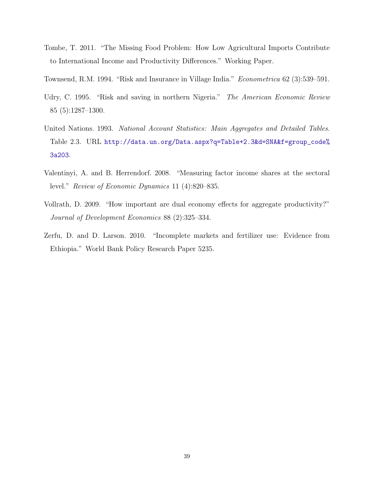- <span id="page-39-0"></span>Tombe, T. 2011. "The Missing Food Problem: How Low Agricultural Imports Contribute to International Income and Productivity Differences." Working Paper.
- <span id="page-39-2"></span>Townsend, R.M. 1994. "Risk and Insurance in Village India." Econometrica 62 (3):539–591.
- <span id="page-39-3"></span>Udry, C. 1995. "Risk and saving in northern Nigeria." The American Economic Review 85 (5):1287–1300.
- United Nations. 1993. National Account Statistics: Main Aggregates and Detailed Tables. Table 2.3. URL [http://data.un.org/Data.aspx?q=Table+2.3&d=SNA&f=group\\_code%](http://data.un.org/Data.aspx?q=Table+2.3&d=SNA&f=group_code%3a203) [3a203](http://data.un.org/Data.aspx?q=Table+2.3&d=SNA&f=group_code%3a203).
- <span id="page-39-4"></span>Valentinyi, A. and B. Herrendorf. 2008. "Measuring factor income shares at the sectoral level." Review of Economic Dynamics 11 (4):820–835.
- <span id="page-39-5"></span>Vollrath, D. 2009. "How important are dual economy effects for aggregate productivity?" Journal of Development Economics 88 (2):325–334.
- <span id="page-39-1"></span>Zerfu, D. and D. Larson. 2010. "Incomplete markets and fertilizer use: Evidence from Ethiopia." World Bank Policy Research Paper 5235.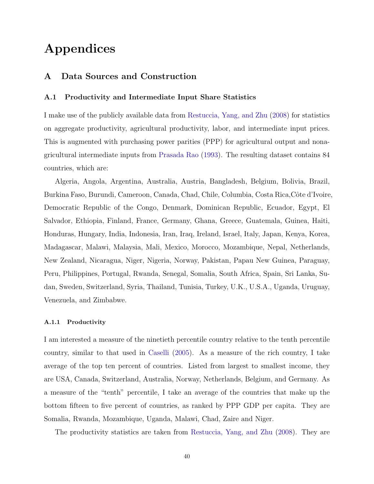# Appendices

# <span id="page-40-0"></span>A Data Sources and Construction

## A.1 Productivity and Intermediate Input Share Statistics

I make use of the publicly available data from [Restuccia, Yang, and Zhu](#page-38-0) [\(2008\)](#page-38-0) for statistics on aggregate productivity, agricultural productivity, labor, and intermediate input prices. This is augmented with purchasing power parities (PPP) for agricultural output and nonagricultural intermediate inputs from [Prasada Rao](#page-38-6) [\(1993\)](#page-38-6). The resulting dataset contains 84 countries, which are:

Algeria, Angola, Argentina, Australia, Austria, Bangladesh, Belgium, Bolivia, Brazil, Burkina Faso, Burundi, Cameroon, Canada, Chad, Chile, Columbia, Costa Rica, Côte d'Ivoire, Democratic Republic of the Congo, Denmark, Dominican Republic, Ecuador, Egypt, El Salvador, Ethiopia, Finland, France, Germany, Ghana, Greece, Guatemala, Guinea, Haiti, Honduras, Hungary, India, Indonesia, Iran, Iraq, Ireland, Israel, Italy, Japan, Kenya, Korea, Madagascar, Malawi, Malaysia, Mali, Mexico, Morocco, Mozambique, Nepal, Netherlands, New Zealand, Nicaragua, Niger, Nigeria, Norway, Pakistan, Papau New Guinea, Paraguay, Peru, Philippines, Portugal, Rwanda, Senegal, Somalia, South Africa, Spain, Sri Lanka, Sudan, Sweden, Switzerland, Syria, Thailand, Tunisia, Turkey, U.K., U.S.A., Uganda, Uruguay, Venezuela, and Zimbabwe.

### A.1.1 Productivity

I am interested a measure of the ninetieth percentile country relative to the tenth percentile country, similar to that used in [Caselli](#page-36-0) [\(2005\)](#page-36-0). As a measure of the rich country, I take average of the top ten percent of countries. Listed from largest to smallest income, they are USA, Canada, Switzerland, Australia, Norway, Netherlands, Belgium, and Germany. As a measure of the "tenth" percentile, I take an average of the countries that make up the bottom fifteen to five percent of countries, as ranked by PPP GDP per capita. They are Somalia, Rwanda, Mozambique, Uganda, Malawi, Chad, Zaire and Niger.

The productivity statistics are taken from [Restuccia, Yang, and Zhu](#page-38-0) [\(2008\)](#page-38-0). They are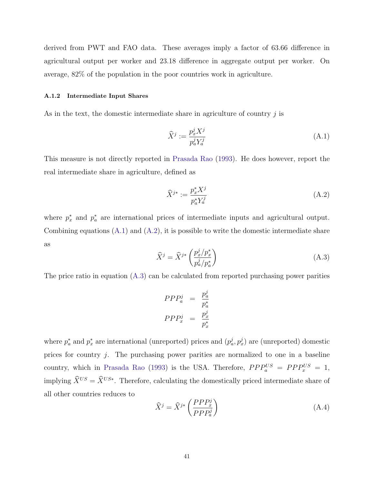derived from PWT and FAO data. These averages imply a factor of 63.66 difference in agricultural output per worker and 23.18 difference in aggregate output per worker. On average, 82% of the population in the poor countries work in agriculture.

### A.1.2 Intermediate Input Shares

As in the text, the domestic intermediate share in agriculture of country  $j$  is

<span id="page-41-0"></span>
$$
\widehat{X}^j := \frac{p_x^j X^j}{p_a^j Y_a^j} \tag{A.1}
$$

This measure is not directly reported in [Prasada Rao](#page-38-6) [\(1993\)](#page-38-6). He does however, report the real intermediate share in agriculture, defined as

<span id="page-41-1"></span>
$$
\widehat{X}^{j*} := \frac{p_x^* X^j}{p_a^* Y_a^j} \tag{A.2}
$$

<span id="page-41-2"></span>where  $p_x^*$  and  $p_a^*$  are international prices of intermediate inputs and agricultural output. Combining equations  $(A.1)$  and  $(A.2)$ , it is possible to write the domestic intermediate share as

$$
\widehat{X}^j = \widehat{X}^{j*} \left( \frac{p_x^j / p_x^*}{p_a^j / p_a^*} \right) \tag{A.3}
$$

The price ratio in equation  $(A.3)$  can be calculated from reported purchasing power parities

$$
PPP_a^j = \frac{p_a^j}{p_a^*}
$$

$$
PPP_x^j = \frac{p_x^j}{p_x^*}
$$

where  $p_a^*$  and  $p_x^*$  are international (unreported) prices and  $(p_a^j, p_x^j)$  are (unreported) domestic prices for country j. The purchasing power parities are normalized to one in a baseline country, which in [Prasada Rao](#page-38-6) [\(1993\)](#page-38-6) is the USA. Therefore,  $PPP_a^{US} = PPP_x^{US} = 1$ , implying  $\hat{X}^{US} = \hat{X}^{US*}$ . Therefore, calculating the domestically priced intermediate share of all other countries reduces to

<span id="page-41-3"></span>
$$
\widehat{X}^j = \widehat{X}^{j*} \left( \frac{PPP_x^j}{PPP_a^j} \right) \tag{A.4}
$$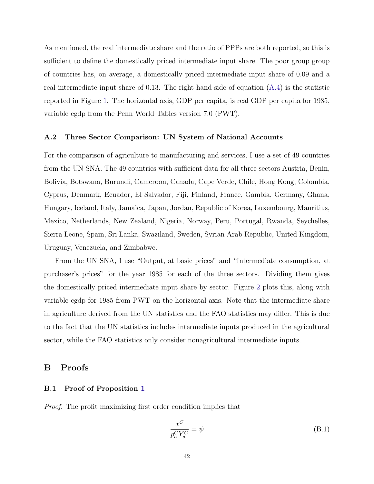As mentioned, the real intermediate share and the ratio of PPPs are both reported, so this is sufficient to define the domestically priced intermediate input share. The poor group group of countries has, on average, a domestically priced intermediate input share of 0.09 and a real intermediate input share of 0.13. The right hand side of equation [\(A.4\)](#page-41-3) is the statistic reported in Figure [1.](#page-6-0) The horizontal axis, GDP per capita, is real GDP per capita for 1985, variable cgdp from the Penn World Tables version 7.0 (PWT).

## A.2 Three Sector Comparison: UN System of National Accounts

For the comparison of agriculture to manufacturing and services, I use a set of 49 countries from the UN SNA. The 49 countries with sufficient data for all three sectors Austria, Benin, Bolivia, Botswana, Burundi, Cameroon, Canada, Cape Verde, Chile, Hong Kong, Colombia, Cyprus, Denmark, Ecuador, El Salvador, Fiji, Finland, France, Gambia, Germany, Ghana, Hungary, Iceland, Italy, Jamaica, Japan, Jordan, Republic of Korea, Luxembourg, Mauritius, Mexico, Netherlands, New Zealand, Nigeria, Norway, Peru, Portugal, Rwanda, Seychelles, Sierra Leone, Spain, Sri Lanka, Swaziland, Sweden, Syrian Arab Republic, United Kingdom, Uruguay, Venezuela, and Zimbabwe.

From the UN SNA, I use "Output, at basic prices" and "Intermediate consumption, at purchaser's prices" for the year 1985 for each of the three sectors. Dividing them gives the domestically priced intermediate input share by sector. Figure [2](#page-8-0) plots this, along with variable cgdp for 1985 from PWT on the horizontal axis. Note that the intermediate share in agriculture derived from the UN statistics and the FAO statistics may differ. This is due to the fact that the UN statistics includes intermediate inputs produced in the agricultural sector, while the FAO statistics only consider nonagricultural intermediate inputs.

# <span id="page-42-0"></span>B Proofs

### B.1 Proof of Proposition [1](#page-18-2)

Proof. The profit maximizing first order condition implies that

<span id="page-42-1"></span>
$$
\frac{x^C}{p_a^C Y_a^C} = \psi
$$
\n(B.1)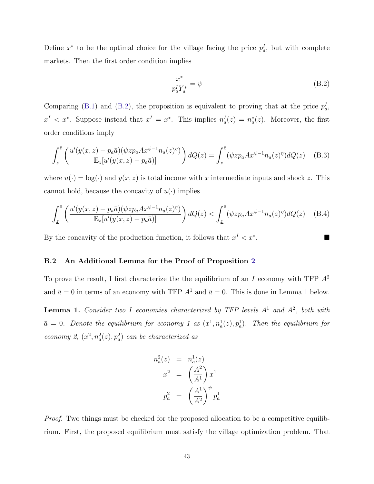Define  $x^*$  to be the optimal choice for the village facing the price  $p_a^I$ , but with complete markets. Then the first order condition implies

<span id="page-43-0"></span>
$$
\frac{x^*}{p_a^I Y_a^*} = \psi \tag{B.2}
$$

Comparing [\(B.1\)](#page-42-1) and [\(B.2\)](#page-43-0), the proposition is equivalent to proving that at the price  $p_a^I$ ,  $x<sup>I</sup> < x^*$ . Suppose instead that  $x<sup>I</sup> = x^*$ . This implies  $n_a<sup>I</sup>(z) = n_a^*(z)$ . Moreover, the first order conditions imply

$$
\int_{\underline{z}}^{\overline{z}} \left( \frac{u'(y(x,z) - p_a \overline{a})(\psi z p_a A x^{\psi - 1} n_a(z)^{\eta})}{\mathbb{E}_z[u'(y(x,z) - p_a \overline{a})]} \right) dQ(z) = \int_{\underline{z}}^{\overline{z}} (\psi z p_a A x^{\psi - 1} n_a(z)^{\eta}) dQ(z) \quad (B.3)
$$

where  $u(\cdot) = \log(\cdot)$  and  $y(x, z)$  is total income with x intermediate inputs and shock z. This cannot hold, because the concavity of  $u(\cdot)$  implies

$$
\int_{\underline{z}}^{\overline{z}} \left( \frac{u'(y(x,z) - p_a \overline{a})(\psi z p_a A x^{\psi - 1} n_a(z)^{\eta})}{\mathbb{E}_z[u'(y(x,z) - p_a \overline{a})]} \right) dQ(z) < \int_{\underline{z}}^{\overline{z}} (\psi z p_a A x^{\psi - 1} n_a(z)^{\eta}) dQ(z) \tag{B.4}
$$

By the concavity of the production function, it follows that  $x<sup>I</sup> < x<sup>*</sup>$ .

### B.2 An Additional Lemma for the Proof of Proposition [2](#page-19-0)

To prove the result, I first characterize the the equilibrium of an  $I$  economy with TFP  $A^2$ and  $\bar{a} = 0$  in terms of an economy with TFP  $A^1$  $A^1$  and  $\bar{a} = 0$ . This is done in Lemma 1 below.

<span id="page-43-1"></span>**Lemma 1.** Consider two I economies characterized by TFP levels  $A<sup>1</sup>$  and  $A<sup>2</sup>$ , both with  $\bar{a} = 0$ . Denote the equilibrium for economy 1 as  $(x^1, n_a^1(z), p_a^1)$ . Then the equilibrium for economy 2,  $(x^2, n_a^2(z), p_a^2)$  can be characterized as

$$
n_a^2(z) = n_a^1(z)
$$
  

$$
x^2 = \left(\frac{A^2}{A^1}\right)x^1
$$
  

$$
p_a^2 = \left(\frac{A^1}{A^2}\right)^{\psi} p_a^1
$$

Proof. Two things must be checked for the proposed allocation to be a competitive equilibrium. First, the proposed equilibrium must satisfy the village optimization problem. That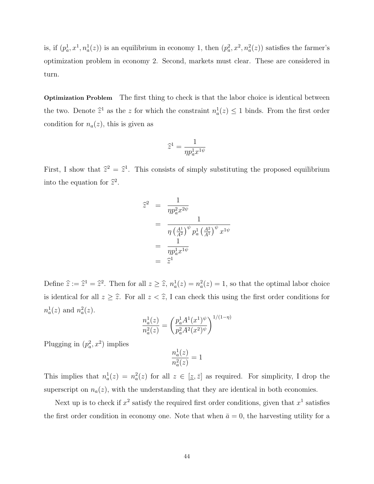is, if  $(p_a^1, x^1, n_a^1(z))$  is an equilibrium in economy 1, then  $(p_a^2, x^2, n_a^2(z))$  satisfies the farmer's optimization problem in economy 2. Second, markets must clear. These are considered in turn.

Optimization Problem The first thing to check is that the labor choice is identical between the two. Denote  $\hat{z}^1$  as the z for which the constraint  $n_a^1(z) \leq 1$  binds. From the first order condition for  $n_a(z)$ , this is given as

$$
\widehat{z}^1 = \frac{1}{\eta p_a^1 x^{1\psi}}
$$

First, I show that  $\hat{z}^2 = \hat{z}^1$ . This consists of simply substituting the proposed equilibrium into the equation for  $\hat{z}^2$ .

$$
\begin{array}{rcl}\n\widehat{z}^2 &=& \frac{1}{\eta p_a^2 x^{2\psi}} \\
&=& \frac{1}{\eta \left(\frac{A^1}{A^2}\right)^{\psi} p_a^1 \left(\frac{A^2}{A^1}\right)^{\psi} x^{1\psi}} \\
&=& \frac{1}{\eta p_a^1 x^{1\psi}} \\
&=& \widehat{z}^1\n\end{array}
$$

Define  $\hat{z} := \hat{z}^1 = \hat{z}^2$ . Then for all  $z \geq \hat{z}$ ,  $n_a^1(z) = n_a^2(z) = 1$ , so that the optimal labor choice is identical for all  $z \geq \hat{z}$ . For all  $z < \hat{z}$ , I can check this using the first order conditions for  $n_a^1(z)$  and  $n_a^2(z)$ .

$$
\frac{n_a^1(z)}{n_a^2(z)} = \left(\frac{p_a^1 A^1(x^1)^{\psi}}{p_a^2 A^2(x^2)^{\psi}}\right)^{1/(1-\eta)}
$$

Plugging in  $(p_a^2, x^2)$  implies

$$
\frac{n_a^1(z)}{n_a^2(z)}=1
$$

This implies that  $n_a^1(z) = n_a^2(z)$  for all  $z \in [z, \bar{z}]$  as required. For simplicity, I drop the superscript on  $n_a(z)$ , with the understanding that they are identical in both economies.

Next up is to check if  $x^2$  satisfy the required first order conditions, given that  $x^1$  satisfies the first order condition in economy one. Note that when  $\bar{a} = 0$ , the harvesting utility for a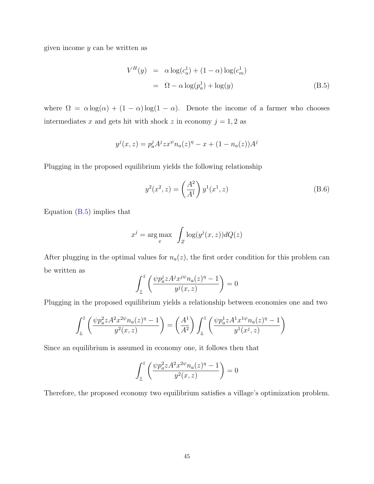given income y can be written as

<span id="page-45-0"></span>
$$
V^H(y) = \alpha \log(c_a^1) + (1 - \alpha) \log(c_m^1)
$$
  
=  $\Omega - \alpha \log(p_a^1) + \log(y)$  (B.5)

where  $\Omega = \alpha \log(\alpha) + (1 - \alpha) \log(1 - \alpha)$ . Denote the income of a farmer who chooses intermediates x and gets hit with shock z in economy  $j = 1, 2$  as

$$
y^{j}(x, z) = p_{a}^{j} A^{j} z x^{\psi} n_{a}(z)^{\eta} - x + (1 - n_{a}(z)) A^{j}
$$

Plugging in the proposed equilibrium yields the following relationship

<span id="page-45-1"></span>
$$
y^{2}(x^{2}, z) = \left(\frac{A^{2}}{A^{1}}\right) y^{1}(x^{1}, z)
$$
 (B.6)

Equation [\(B.5\)](#page-45-0) implies that

$$
x^{j} = \arg \max_{x} \int_{Z} \log(y^{j}(x, z)) dQ(z)
$$

After plugging in the optimal values for  $n_a(z)$ , the first order condition for this problem can be written as

$$
\int_{\underline{z}}^{\overline{z}} \left( \frac{\psi p_a^j z A^j x^{j\psi} n_a(z)^{\eta} - 1}{y^j(x, z)} \right) = 0
$$

Plugging in the proposed equilibrium yields a relationship between economies one and two

$$
\int_{\underline{z}}^{\overline{z}} \left( \frac{\psi p_a^2 z A^2 x^{2\psi} n_a(z)^{\eta} - 1}{y^2(x, z)} \right) = \left( \frac{A^1}{A^2} \right) \int_{\underline{z}}^{\overline{z}} \left( \frac{\psi p_a^1 z A^1 x^{1\psi} n_a(z)^{\eta} - 1}{y^1(x^j, z)} \right)
$$

Since an equilibrium is assumed in economy one, it follows then that

$$
\int_{\underline{z}}^{\overline{z}} \left( \frac{\psi p_a^2 z A^2 x^{2\psi} n_a(z)^{\eta} - 1}{y^2(x, z)} \right) = 0
$$

Therefore, the proposed economy two equilibrium satisfies a village's optimization problem.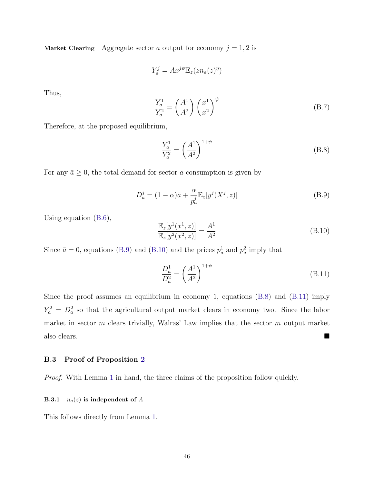Market Clearing Aggregate sector a output for economy  $j = 1, 2$  is

$$
Y_a^j = Ax^{j\psi} \mathbb{E}_z(z n_a(z)^{\eta})
$$

Thus,

<span id="page-46-2"></span>
$$
\frac{Y_a^1}{Y_a^2} = \left(\frac{A^1}{A^2}\right) \left(\frac{x^1}{x^2}\right)^{\psi} \tag{B.7}
$$

Therefore, at the proposed equilibrium,

<span id="page-46-0"></span>
$$
\frac{Y_a^1}{Y_a^2} = \left(\frac{A^1}{A^2}\right)^{1+\psi} \tag{B.8}
$$

For any  $\bar{a} \geq 0$ , the total demand for sector a consumption is given by

<span id="page-46-1"></span>
$$
D_a^j = (1 - \alpha)\bar{a} + \frac{\alpha}{p_a^j} \mathbb{E}_z[y^j(X^j, z)] \tag{B.9}
$$

Using equation [\(B.6\)](#page-45-1),

$$
\frac{\mathbb{E}_z[y^1(x^1, z)]}{\mathbb{E}_z[y^2(x^2, z)]} = \frac{A^1}{A^2}
$$
\n(B.10)

Since  $\bar{a} = 0$ , equations [\(B.9\)](#page-46-0) and [\(B.10\)](#page-46-1) and the prices  $p_a^1$  and  $p_a^2$  imply that

<span id="page-46-3"></span>
$$
\frac{D_a^1}{D_a^2} = \left(\frac{A^1}{A^2}\right)^{1+\psi} \tag{B.11}
$$

Since the proof assumes an equilibrium in economy 1, equations  $(B.8)$  and  $(B.11)$  imply  $Y_a^2 = D_a^2$  so that the agricultural output market clears in economy two. Since the labor market in sector  $m$  clears trivially, Walras' Law implies that the sector  $m$  output market also clears.

### B.3 Proof of Proposition [2](#page-19-0)

Proof. With Lemma [1](#page-43-1) in hand, the three claims of the proposition follow quickly.

### **B.3.1**  $n_a(z)$  is independent of A

This follows directly from Lemma [1.](#page-43-1)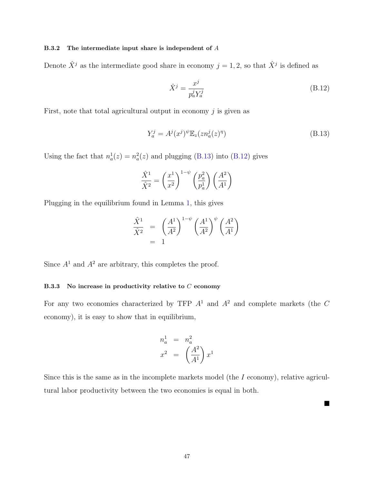### B.3.2 The intermediate input share is independent of A

Denote  $\hat{X}^j$  as the intermediate good share in economy  $j = 1, 2$ , so that  $\hat{X}^j$  is defined as

<span id="page-47-1"></span><span id="page-47-0"></span>
$$
\hat{X}^j = \frac{x^j}{p_a^j Y_a^j} \tag{B.12}
$$

П

First, note that total agricultural output in economy  $j$  is given as

$$
Y_a^j = A^j (x^j)^\psi \mathbb{E}_z (z n_a^j (z)^\eta)
$$
\n(B.13)

Using the fact that  $n_a^1(z) = n_a^2(z)$  and plugging [\(B.13\)](#page-47-0) into [\(B.12\)](#page-47-1) gives

$$
\frac{\hat{X}^1}{\hat{X}^2} = \left(\frac{x^1}{x^2}\right)^{1-\psi} \left(\frac{p_a^2}{p_a^1}\right) \left(\frac{A^2}{A^1}\right)
$$

Plugging in the equilibrium found in Lemma [1,](#page-43-1) this gives

$$
\frac{\hat{X}^1}{\hat{X}^2} = \left(\frac{A^1}{A^2}\right)^{1-\psi} \left(\frac{A^1}{A^2}\right)^{\psi} \left(\frac{A^2}{A^1}\right)
$$

$$
= 1
$$

Since  $A^1$  and  $A^2$  are arbitrary, this completes the proof.

## B.3.3 No increase in productivity relative to  $C$  economy

For any two economies characterized by TFP  $A<sup>1</sup>$  and  $A<sup>2</sup>$  and complete markets (the C economy), it is easy to show that in equilibrium,

$$
\begin{array}{rcl}\nn_a^1 & = & n_a^2 \\
x^2 & = & \left(\frac{A^2}{A^1}\right)x^1\n\end{array}
$$

Since this is the same as in the incomplete markets model (the  $I$  economy), relative agricultural labor productivity between the two economies is equal in both.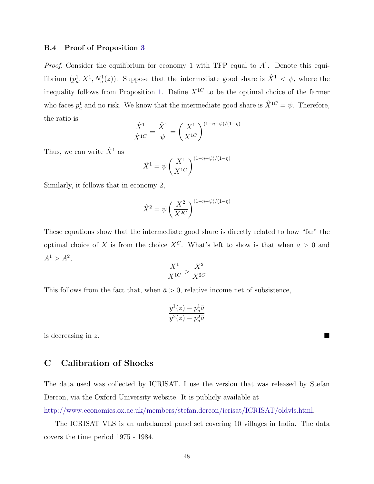### B.4 Proof of Proposition [3](#page-20-1)

*Proof.* Consider the equilibrium for economy 1 with TFP equal to  $A<sup>1</sup>$ . Denote this equilibrium  $(p_a^1, X^1, N_a^1(z))$ . Suppose that the intermediate good share is  $\hat{X}^1 < \psi$ , where the inequality follows from Proposition [1.](#page-18-2) Define  $X^{1C}$  to be the optimal choice of the farmer who faces  $p_a^1$  and no risk. We know that the intermediate good share is  $\hat{X}^{1C} = \psi$ . Therefore, the ratio is

$$
\frac{\hat{X}^1}{\hat{X}^{1C}} = \frac{\hat{X}^1}{\psi} = \left(\frac{X^1}{X^{1C}}\right)^{(1-\eta-\psi)/(1-\eta)}
$$

Thus, we can write  $\hat{X}^1$  as

$$
\hat{X}^1 = \psi \left(\frac{X^1}{X^{1C}}\right)^{(1-\eta-\psi)/(1-\eta)}
$$

Similarly, it follows that in economy 2,

$$
\hat{X}^2 = \psi \left(\frac{X^2}{X^{2C}}\right)^{(1-\eta-\psi)/(1-\eta)}
$$

These equations show that the intermediate good share is directly related to how "far" the optimal choice of X is from the choice  $X^C$ . What's left to show is that when  $\bar{a} > 0$  and  $A^1 > A^2$ ,

$$
\frac{X^1}{X^{1C}} > \frac{X^2}{X^{2C}}
$$

This follows from the fact that, when  $\bar{a} > 0$ , relative income net of subsistence,

$$
\frac{y^1(z) - p_a^1 \bar{a}}{y^2(z) - p_a^2 \bar{a}}
$$

is decreasing in z.

# <span id="page-48-0"></span>C Calibration of Shocks

The data used was collected by ICRISAT. I use the version that was released by Stefan Dercon, via the Oxford University website. It is publicly available at

[http://www.economics.ox.ac.uk/members/stefan.dercon/icrisat/ICRISAT/oldvls.html.](http://www.economics.ox.ac.uk/members/stefan.dercon/icrisat/ICRISAT/oldvls.html)

The ICRISAT VLS is an unbalanced panel set covering 10 villages in India. The data covers the time period 1975 - 1984.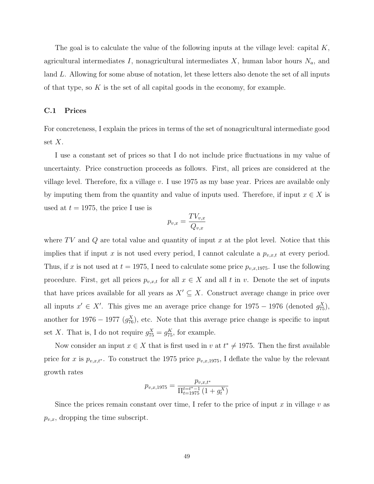The goal is to calculate the value of the following inputs at the village level: capital K, agricultural intermediates I, nonagricultural intermediates  $X$ , human labor hours  $N_a$ , and land L. Allowing for some abuse of notation, let these letters also denote the set of all inputs of that type, so  $K$  is the set of all capital goods in the economy, for example.

## C.1 Prices

For concreteness, I explain the prices in terms of the set of nonagricultural intermediate good set  $X$ .

I use a constant set of prices so that I do not include price fluctuations in my value of uncertainty. Price construction proceeds as follows. First, all prices are considered at the village level. Therefore, fix a village  $v$ . I use 1975 as my base year. Prices are available only by imputing them from the quantity and value of inputs used. Therefore, if input  $x \in X$  is used at  $t = 1975$ , the price I use is

$$
p_{v,x} = \frac{TV_{v,x}}{Q_{v,x}}
$$

where TV and Q are total value and quantity of input x at the plot level. Notice that this implies that if input x is not used every period, I cannot calculate a  $p_{v,x,t}$  at every period. Thus, if x is not used at  $t = 1975$ , I need to calculate some price  $p_{v,x,1975}$ . I use the following procedure. First, get all prices  $p_{v,x,t}$  for all  $x \in X$  and all t in v. Denote the set of inputs that have prices available for all years as  $X' \subseteq X$ . Construct average change in price over all inputs  $x' \in X'$ . This gives me an average price change for 1975 – 1976 (denoted  $g_{75}^X$ ), another for 1976 – 1977  $(g_{76}^X)$ , etc. Note that this average price change is specific to input set X. That is, I do not require  $g_{75}^X = g_{75}^K$ , for example.

Now consider an input  $x \in X$  that is first used in v at  $t^* \neq 1975$ . Then the first available price for x is  $p_{v,x,t^*}$ . To construct the 1975 price  $p_{v,x,1975}$ , I deflate the value by the relevant growth rates

$$
p_{v,x,1975} = \frac{p_{v,x,t^*}}{\prod_{t=1975}^{t=t^*-1} (1+g_t^X)}
$$

Since the prices remain constant over time, I refer to the price of input x in village v as  $p_{v,x}$ , dropping the time subscript.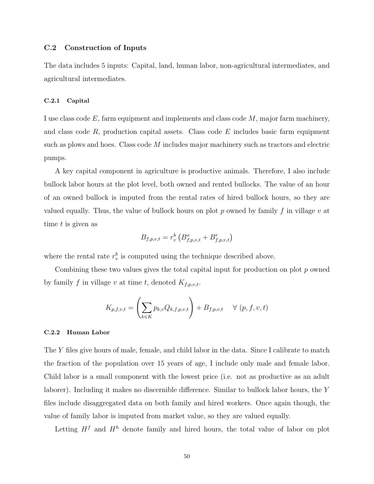## C.2 Construction of Inputs

The data includes 5 inputs: Capital, land, human labor, non-agricultural intermediates, and agricultural intermediates.

## C.2.1 Capital

I use class code  $E$ , farm equipment and implements and class code  $M$ , major farm machinery, and class code  $R$ , production capital assets. Class code  $E$  includes basic farm equipment such as plows and hoes. Class code M includes major machinery such as tractors and electric pumps.

A key capital component in agriculture is productive animals. Therefore, I also include bullock labor hours at the plot level, both owned and rented bullocks. The value of an hour of an owned bullock is imputed from the rental rates of hired bullock hours, so they are valued equally. Thus, the value of bullock hours on plot p owned by family f in village v at time t is given as

$$
B_{f,p,v,t} = r_v^b \left( B_{f,p,v,t}^o + B_{f,p,v,t}^r \right)
$$

where the rental rate  $r_v^b$  is computed using the technique described above.

Combining these two values gives the total capital input for production on plot p owned by family f in village v at time t, denoted  $K_{f,p,v,t}$ .

$$
K_{p,f,v,t} = \left(\sum_{k \in K} p_{k,v} Q_{k,f,p,v,t}\right) + B_{f,p,v,t} \quad \forall (p, f, v, t)
$$

### C.2.2 Human Labor

The Y files give hours of male, female, and child labor in the data. Since I calibrate to match the fraction of the population over 15 years of age, I include only male and female labor. Child labor is a small component with the lowest price (i.e. not as productive as an adult laborer). Including it makes no discernible difference. Similar to bullock labor hours, the Y files include disaggregated data on both family and hired workers. Once again though, the value of family labor is imputed from market value, so they are valued equally.

Letting  $H<sup>f</sup>$  and  $H<sup>h</sup>$  denote family and hired hours, the total value of labor on plot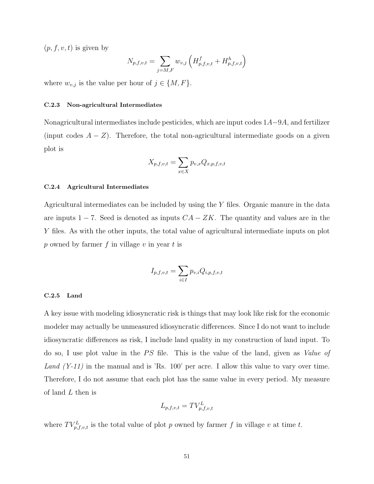$(p, f, v, t)$  is given by

$$
N_{p,f,v,t} = \sum_{j=M,F} w_{v,j} \left( H_{p,f,v,t}^f + H_{p,f,v,t}^h \right)
$$

where  $w_{v,j}$  is the value per hour of  $j \in \{M, F\}.$ 

### C.2.3 Non-agricultural Intermediates

Nonagricultural intermediates include pesticides, which are input codes 1A−9A, and fertilizer (input codes  $A - Z$ ). Therefore, the total non-agricultural intermediate goods on a given plot is

$$
X_{p,f,v,t} = \sum_{x \in X} p_{v,x} Q_{x,p,f,v,t}
$$

### C.2.4 Agricultural Intermediates

Agricultural intermediates can be included by using the Y files. Organic manure in the data are inputs  $1 - 7$ . Seed is denoted as inputs  $CA - ZK$ . The quantity and values are in the Y files. As with the other inputs, the total value of agricultural intermediate inputs on plot p owned by farmer f in village v in year t is

$$
I_{p,f,v,t} = \sum_{i \in I} p_{v,i} Q_{i,p,f,v,t}
$$

### C.2.5 Land

A key issue with modeling idiosyncratic risk is things that may look like risk for the economic modeler may actually be unmeasured idiosyncratic differences. Since I do not want to include idiosyncratic differences as risk, I include land quality in my construction of land input. To do so, I use plot value in the  $PS$  file. This is the value of the land, given as *Value of* Land  $(Y-11)$  in the manual and is 'Rs. 100' per acre. I allow this value to vary over time. Therefore, I do not assume that each plot has the same value in every period. My measure of land L then is

$$
L_{p,f,v,t} = TV_{p,f,v,t}^L
$$

where  $TV_{p,f,v,t}^L$  is the total value of plot p owned by farmer f in village v at time t.